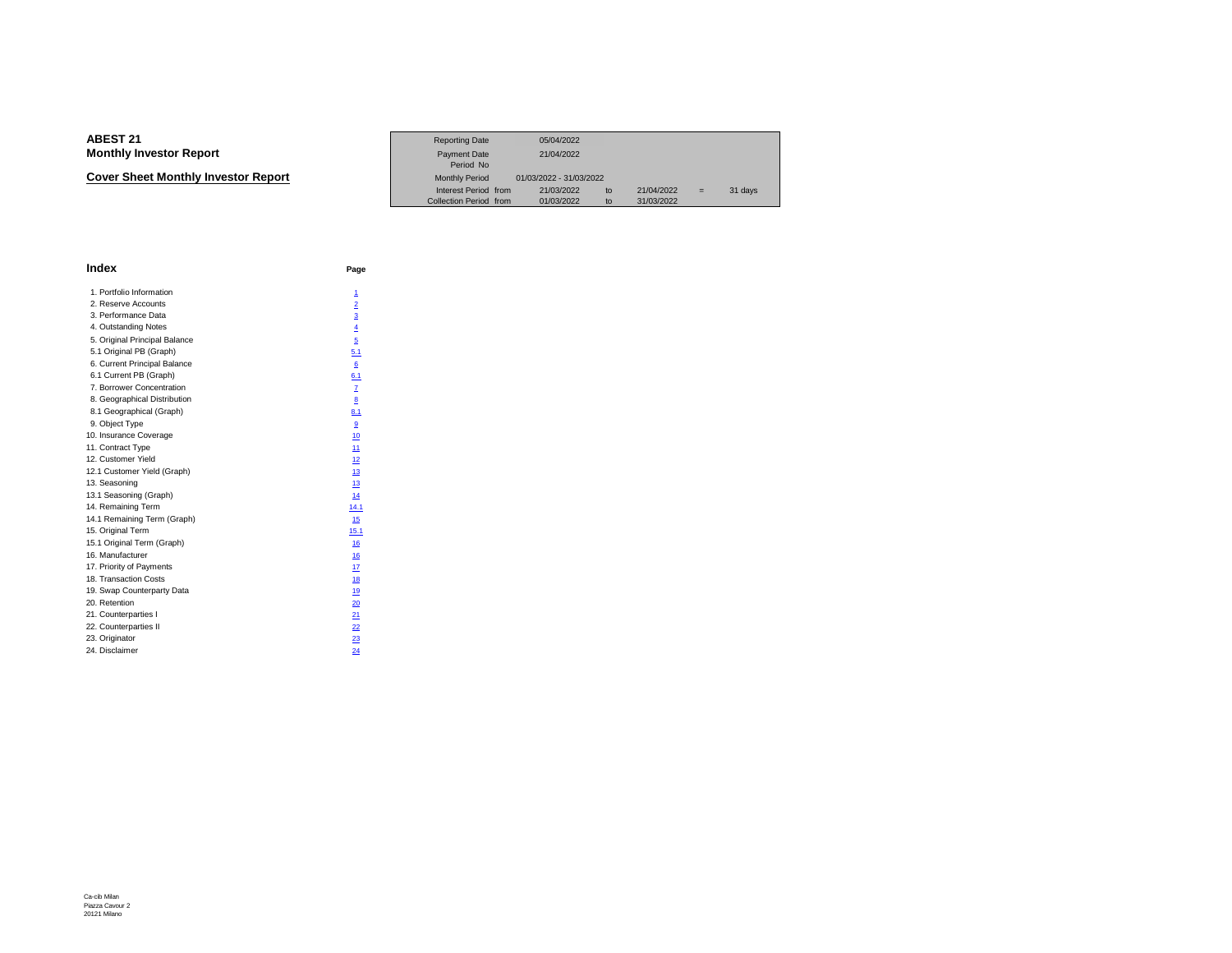**Cover Sheet Monthly Investor Report**

|                             | <b>Reporting Date</b>            | 05/04/2022              |            |    |         |
|-----------------------------|----------------------------------|-------------------------|------------|----|---------|
| Investor Report             | <b>Payment Date</b><br>Period No | 21/04/2022              |            |    |         |
| eet Monthlv Investor Report | <b>Monthly Period</b>            | 01/03/2022 - 31/03/2022 |            |    |         |
|                             | Interest Period from             | 21/03/2022<br>tο        | 21/04/2022 | ۰. | 31 days |
|                             | Collection Period from           | 01/03/2022              | 31/03/2022 |    |         |

| <b>Index</b>                  | Page           |
|-------------------------------|----------------|
| 1. Portfolio Information      | 1              |
| 2. Reserve Accounts           | $\overline{2}$ |
| 3. Performance Data           | $\overline{3}$ |
| 4. Outstanding Notes          | $\overline{4}$ |
| 5. Original Principal Balance | 5              |
| 5.1 Original PB (Graph)       | 5.1            |
| 6. Current Principal Balance  | 6              |
| 6.1 Current PB (Graph)        | 6.1            |
| 7. Borrower Concentration     | $\overline{1}$ |
| 8. Geographical Distribution  | 8              |
| 8.1 Geographical (Graph)      | 8.1            |
| 9. Object Type                | $\overline{9}$ |
| 10. Insurance Coverage        | 10             |
| 11. Contract Type             | 11             |
| 12. Customer Yield            | 12             |
| 12.1 Customer Yield (Graph)   | 13             |
| 13. Seasoning                 | 13             |
| 13.1 Seasoning (Graph)        | 14             |
| 14. Remaining Term            | 14.1           |
| 14.1 Remaining Term (Graph)   | 15             |
| 15. Original Term             | 15.1           |
| 15.1 Original Term (Graph)    | 16             |
| 16. Manufacturer              | 16             |
| 17. Priority of Payments      | 17             |
| 18. Transaction Costs         | 18             |
| 19. Swap Counterparty Data    | 19             |
| 20. Retention                 | 20             |
| 21. Counterparties I          | 21             |
| 22. Counterparties II         | 22             |
| 23. Originator                | 23             |
| 24. Disclaimer                | 24             |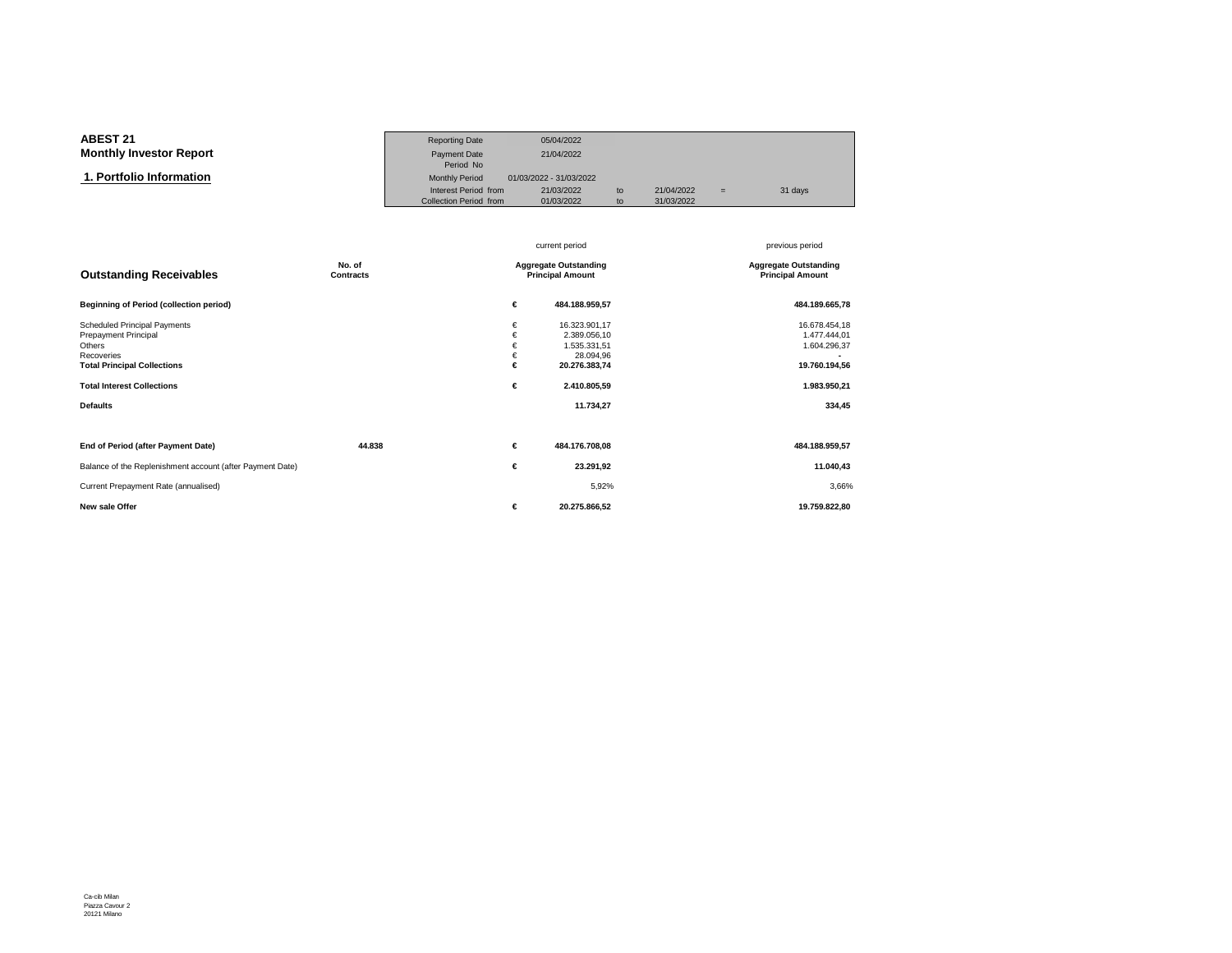#### **ABEST 21**Reporting Date 05/04/2022<br>Payment Date 21/04/2022 **Monthly Investor ReportT** 21/04/2022<br>Period No Period No  $\overline{\mathbf{n}}$  Monthly Period 01/03/2022 - 31/03/2022  **1. Portfolio Information**Interest Period from 21/03/2022 to 21/04/2022 = 31 days<br>Collection Period from 01/03/2022 to 31/03/2022 Collection Period from

|                                                                                                                                                                                          |                            |                                                         | current period                                                                                           | previous period                                                                          |
|------------------------------------------------------------------------------------------------------------------------------------------------------------------------------------------|----------------------------|---------------------------------------------------------|----------------------------------------------------------------------------------------------------------|------------------------------------------------------------------------------------------|
| <b>Outstanding Receivables</b>                                                                                                                                                           | No. of<br><b>Contracts</b> | <b>Aggregate Outstanding</b><br><b>Principal Amount</b> |                                                                                                          | <b>Aggregate Outstanding</b><br><b>Principal Amount</b>                                  |
| <b>Beginning of Period (collection period)</b>                                                                                                                                           |                            | €                                                       | 484.188.959,57                                                                                           | 484.189.665,78                                                                           |
| <b>Scheduled Principal Payments</b><br><b>Prepayment Principal</b><br>Others<br>Recoveries<br><b>Total Principal Collections</b><br><b>Total Interest Collections</b><br><b>Defaults</b> |                            | €<br>€<br>€<br>€<br>€<br>€                              | 16.323.901,17<br>2.389.056,10<br>1.535.331,51<br>28.094,96<br>20.276.383,74<br>2.410.805,59<br>11.734,27 | 16.678.454,18<br>1.477.444,01<br>1.604.296,37<br>19.760.194,56<br>1.983.950,21<br>334,45 |
| End of Period (after Payment Date)                                                                                                                                                       | 44.838                     | €                                                       | 484.176.708,08                                                                                           | 484.188.959,57                                                                           |
| Balance of the Replenishment account (after Payment Date)                                                                                                                                |                            | €                                                       | 23.291,92                                                                                                | 11.040,43                                                                                |
| Current Prepayment Rate (annualised)                                                                                                                                                     |                            |                                                         | 5,92%                                                                                                    | 3,66%                                                                                    |
| New sale Offer                                                                                                                                                                           |                            | €                                                       | 20.275.866,52                                                                                            | 19.759.822,80                                                                            |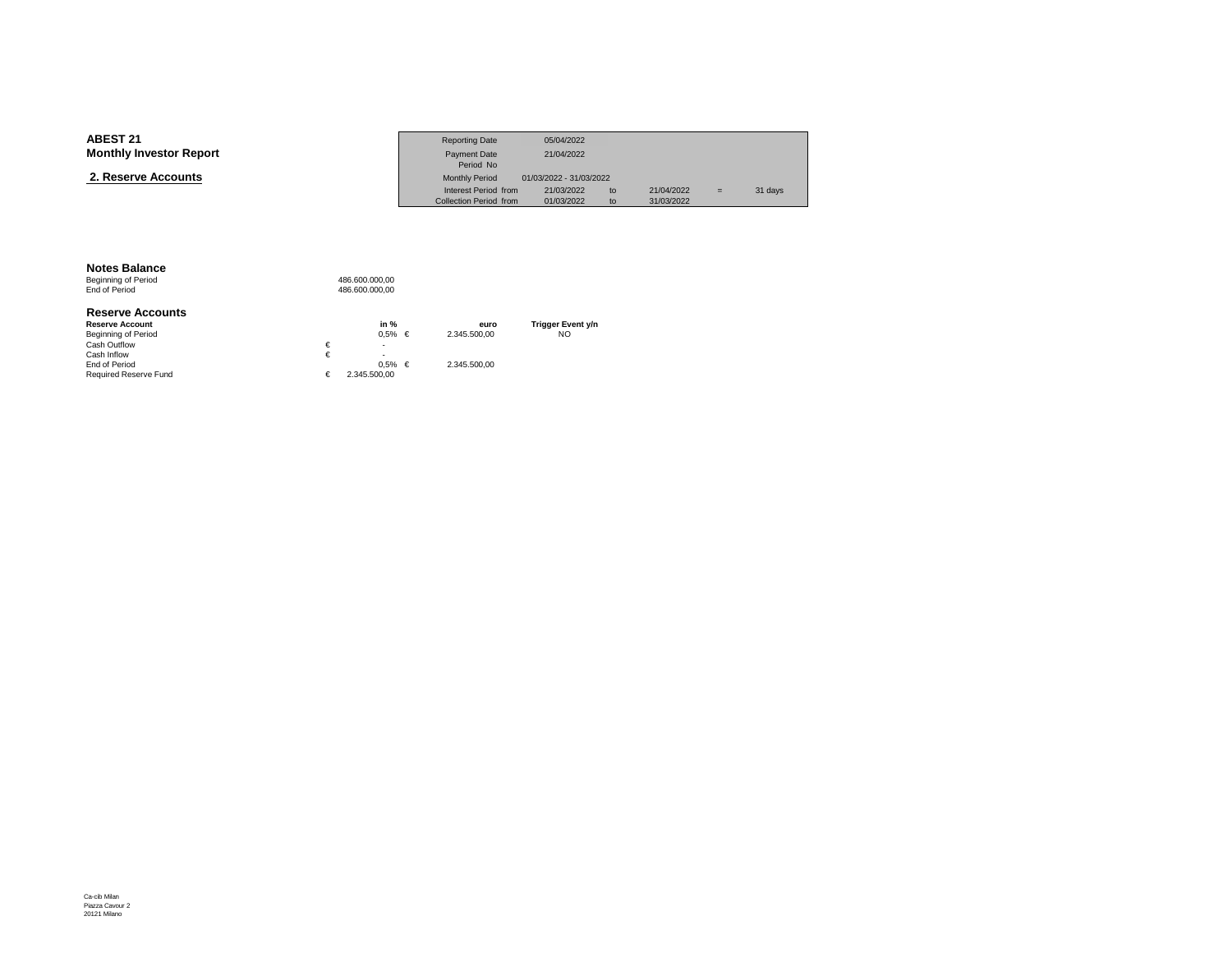| <b>ABEST 21</b>                | <b>Reporting Date</b>  | 05/04/2022              |    |            |     |         |
|--------------------------------|------------------------|-------------------------|----|------------|-----|---------|
| <b>Monthly Investor Report</b> | Payment Date           | 21/04/2022              |    |            |     |         |
|                                | Period No              |                         |    |            |     |         |
| 2. Reserve Accounts            | <b>Monthly Period</b>  | 01/03/2022 - 31/03/2022 |    |            |     |         |
|                                | Interest Period from   | 21/03/2022              | to | 21/04/2022 | $=$ | 31 days |
|                                | Collection Period from | 01/03/2022              | to | 31/03/2022 |     |         |

#### **Notes Balance**

Beginning of Period<br>End of Period 486.600.000,00 486.600.000,00

#### **Reserve Accounts**

| <b>Reserve Account</b>       |   | in $%$       |   | euro         | Trigger Event y/n |
|------------------------------|---|--------------|---|--------------|-------------------|
| Beginning of Period          |   | 0.5%         | € | 2.345.500.00 | NO                |
| Cash Outflow                 | € | ۰            |   |              |                   |
| Cash Inflow                  |   | ۰            |   |              |                   |
| End of Period                |   | $0.5\%$      | € | 2.345.500.00 |                   |
| <b>Required Reserve Fund</b> |   | 2.345.500.00 |   |              |                   |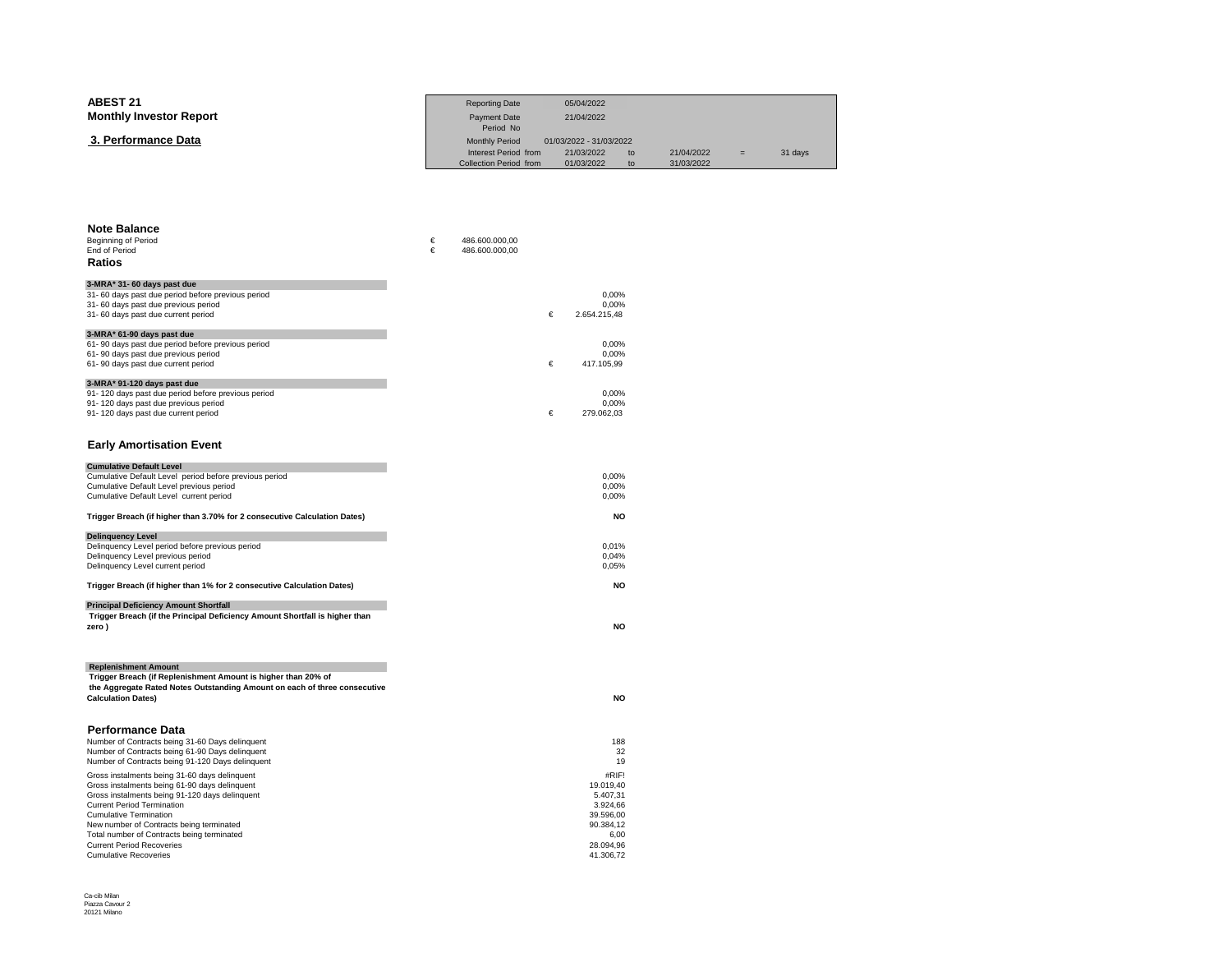| <b>ABEST 21</b>                | <b>Reporting Date</b>         | 05/04/2022              |    |            |     |         |
|--------------------------------|-------------------------------|-------------------------|----|------------|-----|---------|
| <b>Monthly Investor Report</b> | Payment Date                  | 21/04/2022              |    |            |     |         |
|                                | Period No                     |                         |    |            |     |         |
| 3. Performance Data            | <b>Monthly Period</b>         | 01/03/2022 - 31/03/2022 |    |            |     |         |
|                                | Interest Period from          | 21/03/2022              | to | 21/04/2022 | $=$ | 31 days |
|                                | <b>Collection Period from</b> | 01/03/2022              | to | 31/03/2022 |     |         |

| <b>Note Balance</b><br>Beginning of Period<br><b>End of Period</b><br>Ratios                        | €<br>€ | 486.600.000,00<br>486.600.000,00 |   |                   |
|-----------------------------------------------------------------------------------------------------|--------|----------------------------------|---|-------------------|
| 3-MRA* 31- 60 days past due                                                                         |        |                                  |   |                   |
| 31-60 days past due period before previous period                                                   |        |                                  |   | 0,00%             |
| 31-60 days past due previous period                                                                 |        |                                  |   | 0.00%             |
| 31-60 days past due current period                                                                  |        |                                  | € | 2.654.215,48      |
| 3-MRA* 61-90 days past due                                                                          |        |                                  |   |                   |
| 61-90 days past due period before previous period<br>61-90 days past due previous period            |        |                                  |   | 0,00%<br>0,00%    |
| 61-90 days past due current period                                                                  |        |                                  | € | 417.105,99        |
| 3-MRA* 91-120 days past due                                                                         |        |                                  |   |                   |
| 91-120 days past due period before previous period                                                  |        |                                  |   | 0,00%             |
| 91-120 days past due previous period                                                                |        |                                  |   | 0,00%             |
| 91-120 days past due current period                                                                 |        |                                  | € | 279.062,03        |
|                                                                                                     |        |                                  |   |                   |
| <b>Early Amortisation Event</b>                                                                     |        |                                  |   |                   |
| <b>Cumulative Default Level</b>                                                                     |        |                                  |   |                   |
| Cumulative Default Level period before previous period<br>Cumulative Default Level previous period  |        |                                  |   | 0.00%<br>0,00%    |
| Cumulative Default Level current period                                                             |        |                                  |   | 0,00%             |
|                                                                                                     |        |                                  |   |                   |
| Trigger Breach (if higher than 3.70% for 2 consecutive Calculation Dates)                           |        |                                  |   | <b>NO</b>         |
| <b>Delinquency Level</b>                                                                            |        |                                  |   |                   |
| Delinquency Level period before previous period                                                     |        |                                  |   | 0.01%             |
| Delinquency Level previous period<br>Delinquency Level current period                               |        |                                  |   | 0,04%<br>0,05%    |
|                                                                                                     |        |                                  |   |                   |
| Trigger Breach (if higher than 1% for 2 consecutive Calculation Dates)                              |        |                                  |   | <b>NO</b>         |
| <b>Principal Deficiency Amount Shortfall</b>                                                        |        |                                  |   |                   |
| Trigger Breach (if the Principal Deficiency Amount Shortfall is higher than                         |        |                                  |   |                   |
| zero)                                                                                               |        |                                  |   | <b>NO</b>         |
|                                                                                                     |        |                                  |   |                   |
| <b>Replenishment Amount</b>                                                                         |        |                                  |   |                   |
| Trigger Breach (if Replenishment Amount is higher than 20% of                                       |        |                                  |   |                   |
| the Aggregate Rated Notes Outstanding Amount on each of three consecutive                           |        |                                  |   |                   |
| <b>Calculation Dates)</b>                                                                           |        |                                  |   | <b>NO</b>         |
|                                                                                                     |        |                                  |   |                   |
| Performance Data                                                                                    |        |                                  |   |                   |
| Number of Contracts being 31-60 Days delinquent                                                     |        |                                  |   | 188               |
| Number of Contracts being 61-90 Days delinquent<br>Number of Contracts being 91-120 Days delinguent |        |                                  |   | 32<br>19          |
| Gross instalments being 31-60 days delinquent                                                       |        |                                  |   | #RIF!             |
| Gross instalments being 61-90 days delinquent                                                       |        |                                  |   | 19.019,40         |
| Gross instalments being 91-120 days delinquent                                                      |        |                                  |   | 5.407,31          |
| <b>Current Period Termination</b>                                                                   |        |                                  |   | 3.924,66          |
| <b>Cumulative Termination</b>                                                                       |        |                                  |   | 39.596,00         |
| New number of Contracts being terminated<br>Total number of Contracts being terminated              |        |                                  |   | 90.384,12<br>6,00 |
| <b>Current Period Recoveries</b>                                                                    |        |                                  |   | 28.094.96         |
| <b>Cumulative Recoveries</b>                                                                        |        |                                  |   | 41.306,72         |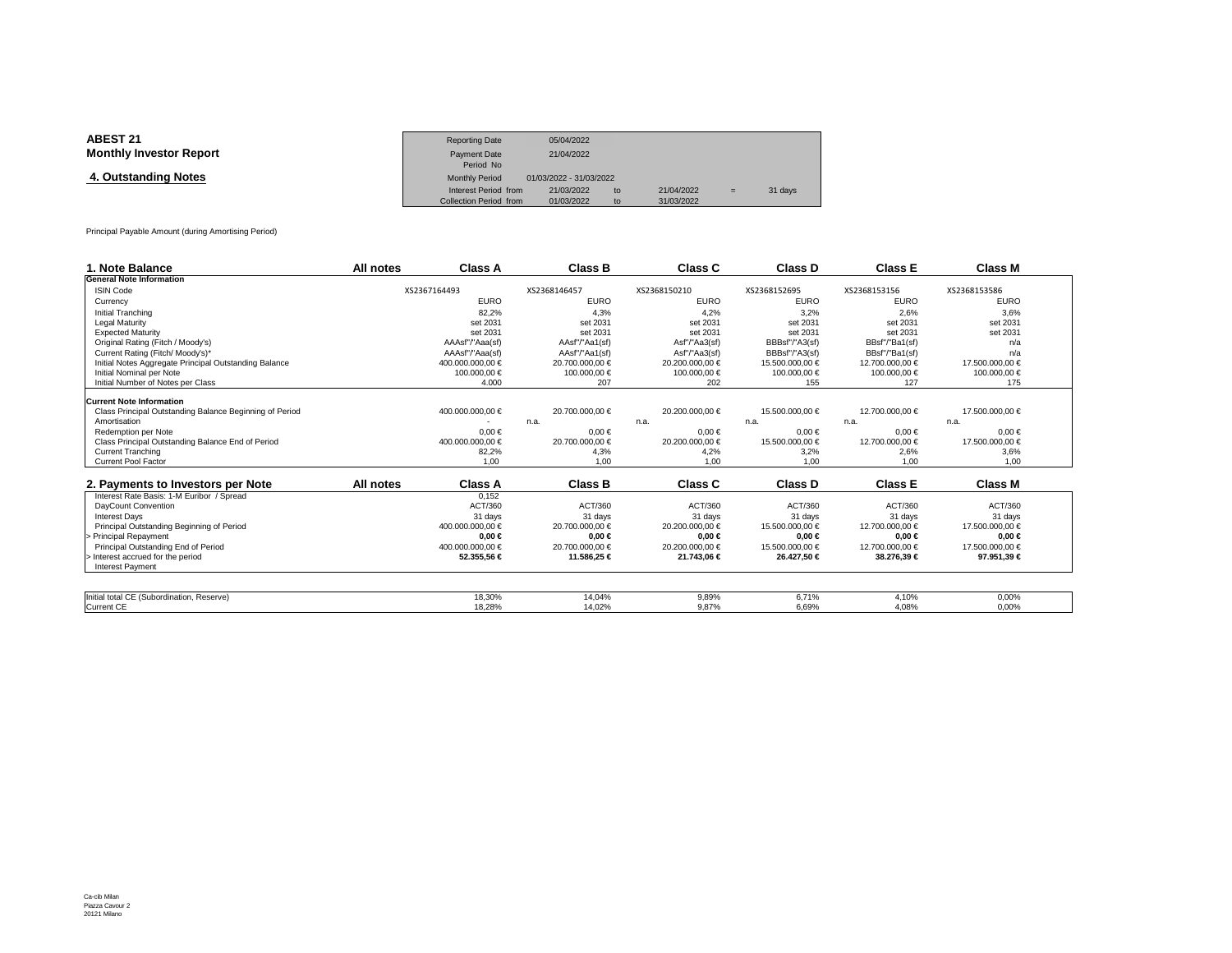| <b>ABEST 21</b>                | <b>Reporting Date</b>  | 05/04/2022              |    |            |     |         |
|--------------------------------|------------------------|-------------------------|----|------------|-----|---------|
| <b>Monthly Investor Report</b> | Payment Date           | 21/04/2022              |    |            |     |         |
|                                | Period No              |                         |    |            |     |         |
| 4. Outstanding Notes           | <b>Monthly Period</b>  | 01/03/2022 - 31/03/2022 |    |            |     |         |
|                                | Interest Period from   | 21/03/2022              | to | 21/04/2022 | $=$ | 31 days |
|                                | Collection Period from | 01/03/2022              | to | 31/03/2022 |     |         |

Principal Payable Amount (during Amortising Period)

| 1. Note Balance                                         | All notes | Class A          | <b>Class B</b>  | Class C         | Class D         | <b>Class E</b>  | <b>Class M</b>  |
|---------------------------------------------------------|-----------|------------------|-----------------|-----------------|-----------------|-----------------|-----------------|
| <b>General Note Information</b>                         |           |                  |                 |                 |                 |                 |                 |
| <b>ISIN Code</b>                                        |           | XS2367164493     | XS2368146457    | XS2368150210    | XS2368152695    | XS2368153156    | XS2368153586    |
| Currency                                                |           | <b>EURO</b>      | <b>EURO</b>     | <b>EURO</b>     | <b>EURO</b>     | <b>EURO</b>     | <b>EURO</b>     |
| Initial Tranching                                       |           | 82.2%            | 4.3%            | 4.2%            | 3.2%            | 2.6%            | 3.6%            |
| <b>Legal Maturity</b>                                   |           | set 2031         | set 2031        | set 2031        | set 2031        | set 2031        | set 2031        |
| <b>Expected Maturity</b>                                |           | set 2031         | set 2031        | set 2031        | set 2031        | set 2031        | set 2031        |
| Original Rating (Fitch / Moody's)                       |           | AAAsf"/"Aaa(sf)  | AAsf"/"Aa1(sf)  | Asf"/"Aa3(sf)   | BBBsf"/"A3(sf)  | BBsf"/"Ba1(sf)  | n/a             |
| Current Rating (Fitch/ Moody's)*                        |           | AAAsf"/"Aaa(sf)  | AAsf"/"Aa1(sf)  | Asf"/"Aa3(sf)   | BBBsf"/"A3(sf)  | BBsf"/"Ba1(sf)  | n/a             |
| Initial Notes Aggregate Principal Outstanding Balance   |           | 400.000.000,00 € | 20.700.000,00 € | 20.200.000,00 € | 15.500.000,00 € | 12.700.000,00 € | 17.500.000,00 € |
| Initial Nominal per Note                                |           | 100.000,00 €     | 100.000,00 €    | 100.000,00 €    | 100.000,00 €    | 100000,00 €     | 100.000,00 €    |
| Initial Number of Notes per Class                       |           | 4.000            | 207             | 202             | 155             | 127             | 175             |
| <b>Current Note Information</b>                         |           |                  |                 |                 |                 |                 |                 |
| Class Principal Outstanding Balance Beginning of Period |           | 400.000.000,00 € | 20.700.000,00 € | 20,200,000,00 € | 15.500.000,00 € | 12.700.000.00 € | 17,500,000,00 € |
| Amortisation                                            |           |                  | n.a.            | n.a.            | n.a.            | n.a.            | n.a.            |
| Redemption per Note                                     |           | $0.00 \in$       | $0.00 \in$      | $0.00 \in$      | $0.00 \in$      | $0.00 \in$      | $0.00 \in$      |
| Class Principal Outstanding Balance End of Period       |           | 400.000.000.00 € | 20.700.000,00 € | 20.200.000.00 € | 15.500.000.00 € | 12.700.000.00 € | 17.500.000,00 € |
| <b>Current Tranching</b>                                |           | 82,2%            | 4,3%            | 4,2%            | 3,2%            | 2,6%            | 3,6%            |
| <b>Current Pool Factor</b>                              |           | 1.00             | 1.00            | 1.00            | 1.00            | 1.00            | 1.00            |
|                                                         |           |                  |                 |                 |                 |                 |                 |
| 2. Payments to Investors per Note                       | All notes | <b>Class A</b>   | <b>Class B</b>  | Class C         | Class D         | <b>Class E</b>  | <b>Class M</b>  |
| Interest Rate Basis: 1-M Euribor / Spread               |           | 0.152            |                 |                 |                 |                 |                 |
| DayCount Convention                                     |           | ACT/360          | ACT/360         | ACT/360         | ACT/360         | ACT/360         | ACT/360         |
| <b>Interest Davs</b>                                    |           | 31 days          | 31 days         | 31 days         | 31 days         | 31 days         | 31 days         |
| Principal Outstanding Beginning of Period               |           | 400.000.000.00 € | 20.700.000.00 € | 20.200.000.00 € | 15.500.000.00 € | 12.700.000.00 € | 17.500.000.00 € |
| Principal Repayment                                     |           | $0.00 \in$       | $0.00 \in$      | $0.00 \in$      | $0.00 \in$      | $0.00 \in$      | $0.00 \in$      |
| Principal Outstanding End of Period                     |           | 400.000.000.00 € | 20.700.000.00 € | 20.200.000.00 € | 15.500.000.00 € | 12.700.000,00 € | 17.500.000.00 € |
| Interest accrued for the period                         |           | 52.355,56 €      | 11.586,25 €     | 21.743,06 €     | 26.427,50 €     | 38.2769€        | 97.951,39 €     |
| <b>Interest Payment</b>                                 |           |                  |                 |                 |                 |                 |                 |
|                                                         |           |                  |                 |                 |                 |                 |                 |
| Initial total CE (Subordination, Reserve)               |           | 18.30%           | 14.04%          | 9,89%           | 6.71%           | 4.10%           | 0,00%           |
| <b>Current CE</b>                                       |           | 18.28%           | 14.02%          | 9.87%           | 6.69%           | 4.08%           | 0.00%           |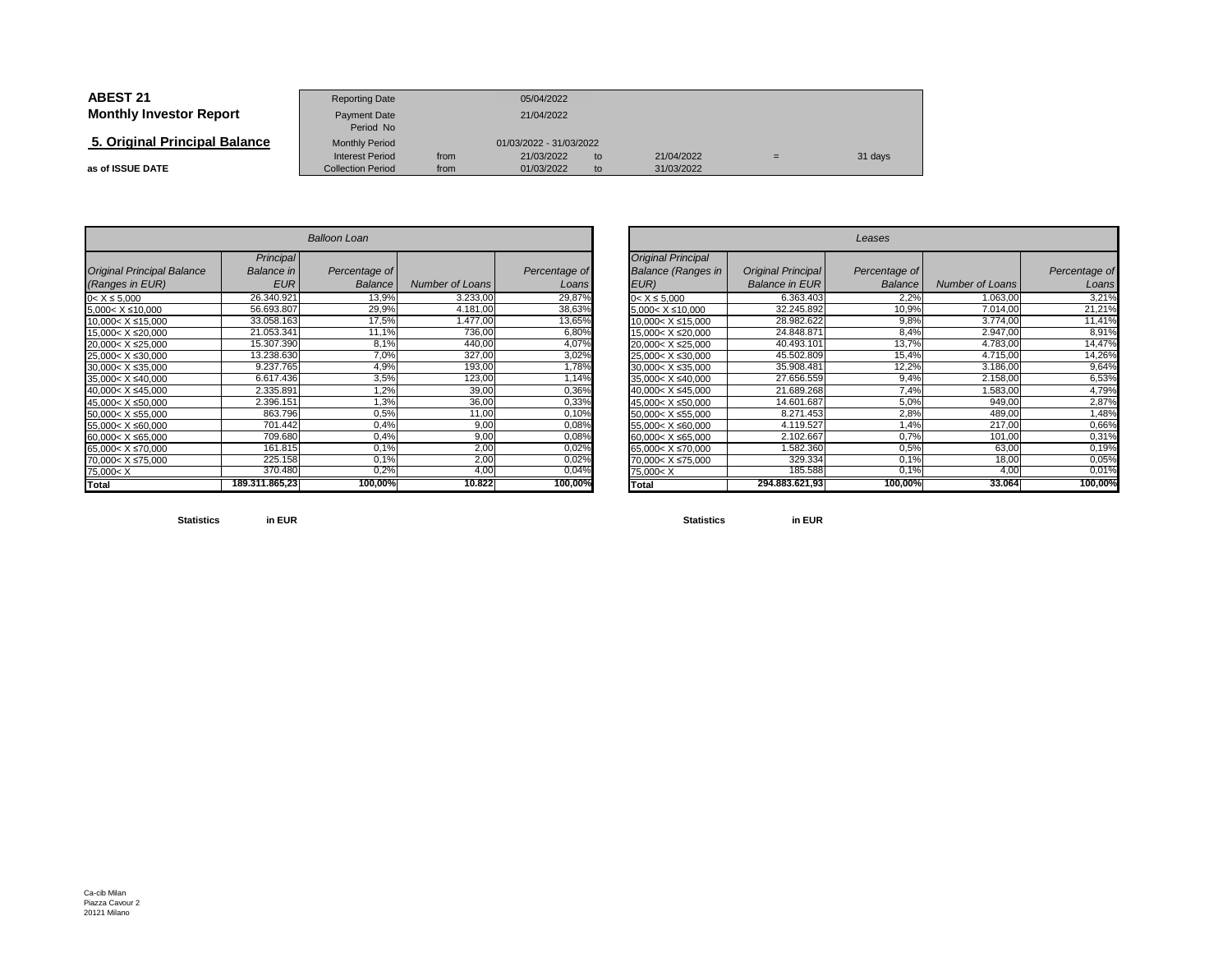| <b>ABEST 21</b>                | <b>Reporting Date</b>                              |              | 05/04/2022               |          |                          |   |         |
|--------------------------------|----------------------------------------------------|--------------|--------------------------|----------|--------------------------|---|---------|
| <b>Monthly Investor Report</b> | Payment Date<br>Period No                          | 21/04/2022   |                          |          |                          |   |         |
| 5. Original Principal Balance  | <b>Monthly Period</b>                              |              | 01/03/2022 - 31/03/2022  |          |                          |   |         |
| as of ISSUE DATE               | <b>Interest Period</b><br><b>Collection Period</b> | from<br>from | 21/03/2022<br>01/03/2022 | to<br>to | 21/04/2022<br>31/03/2022 | = | 31 days |

|                                                                                | <b>Balloon Loan</b>            |               |                        |               |  |  |  |  |  |  |
|--------------------------------------------------------------------------------|--------------------------------|---------------|------------------------|---------------|--|--|--|--|--|--|
| <b>Original Principal Balance</b>                                              | Principal<br><b>Balance</b> in | Percentage of |                        | Percentage of |  |  |  |  |  |  |
| (Ranges in EUR)                                                                | <b>EUR</b>                     | Balance       | <b>Number of Loans</b> | Loans         |  |  |  |  |  |  |
| $0 < X \le 5,000$                                                              | 26.340.921                     | 13,9%         | 3.233,00               | 29,87%        |  |  |  |  |  |  |
| $5.000 < X \le 10.000$                                                         | 56.693.807                     | 29,9%         | 4.181,00               | 38,63%        |  |  |  |  |  |  |
| 10,000< X ≤15,000                                                              | 33.058.163                     | 17,5%         | 1.477,00               | 13,65%        |  |  |  |  |  |  |
| 15,000< X ≤20,000                                                              | 21.053.341                     | 11,1%         | 736,00                 | 6,80%         |  |  |  |  |  |  |
| 20,000< X ≤25,000                                                              | 15.307.390                     | 8,1%          | 440,00                 | 4,07%         |  |  |  |  |  |  |
| 25.000< X ≤30.000                                                              | 13.238.630                     | 7,0%          | 327,00                 | 3,02%         |  |  |  |  |  |  |
| 30.000< X ≤35.000                                                              | 9.237.765                      | 4,9%          | 193,00                 | 1,78%         |  |  |  |  |  |  |
| 35,000< X ≤40,000                                                              | 6.617.436                      | 3,5%          | 123,00                 | 1,14%         |  |  |  |  |  |  |
| 40.000< X ≤45.000                                                              | 2.335.891                      | 1,2%          | 39,00                  | 0,36%         |  |  |  |  |  |  |
| 45,000< X ≤50,000                                                              | 2.396.151                      | 1,3%          | 36,00                  | 0,33%         |  |  |  |  |  |  |
| 50,000< X ≤55,000                                                              | 863.796                        | 0,5%          | 11,00                  | 0,10%         |  |  |  |  |  |  |
| 55,000< X ≤60,000                                                              | 701.442                        | 0.4%          | 9,00                   | 0,08%         |  |  |  |  |  |  |
| 60,000< X ≤65,000                                                              | 709.680                        | 0,4%          | 9,00                   | 0,08%         |  |  |  |  |  |  |
| 65,000< X ≤70,000                                                              | 161.815                        | 0,1%          | 2,00                   | 0,02%         |  |  |  |  |  |  |
| 70.000< X ≤75.000                                                              | 225.158                        | 0.1%          | 2,00                   | 0,02%         |  |  |  |  |  |  |
| 75,000 <x< td=""><td>370.480</td><td>0,2%</td><td>4,00</td><td>0,04%</td></x<> | 370.480                        | 0,2%          | 4,00                   | 0,04%         |  |  |  |  |  |  |
| Total                                                                          | 189.311.865,23                 | 100,00%       | 10.822                 | 100,00%       |  |  |  |  |  |  |

|                          |                | <b>Balloon Loan</b> |                 |               |                                                                               |                           | Leases         |                        |               |
|--------------------------|----------------|---------------------|-----------------|---------------|-------------------------------------------------------------------------------|---------------------------|----------------|------------------------|---------------|
|                          | Principal      |                     |                 |               | <b>Original Principal</b>                                                     |                           |                |                        |               |
| <b>Principal Balance</b> | Balance in     | Percentage of       |                 | Percentage of | <b>Balance (Ranges in</b>                                                     | <b>Original Principal</b> | Percentage of  |                        | Percentage of |
| s in EUR)                | <b>EUR</b>     | <b>Balance</b>      | Number of Loans | Loans         | EUR)                                                                          | <b>Balance in EUR</b>     | <b>Balance</b> | <b>Number of Loans</b> | Loans         |
| 000                      | 26.340.921     | 13,9%               | 3.233,00        | 29,87%        | $0 < X \le 5.000$                                                             | 6.363.403                 | 2.2%           | 1.063,00               | 3,21%         |
| ≤10,000                  | 56.693.807     | 29,9%               | 4.181.00        | 38,63%        | $5,000 < X \leq 10,000$                                                       | 32.245.892                | 10,9%          | 7.014,00               | 21,21%        |
| X ≤15,000                | 33.058.163     | 17,5%               | 1.477.00        | 13,65%        | $10,000 < X \le 15,000$                                                       | 28.982.622                | 9,8%           | 3.774,00               | 11,41%        |
| X ≤20,000                | 21.053.341     | 11,1%               | 736,00          | 6,80%         | 15,000< X ≤20,000                                                             | 24.848.871                | 8,4%           | 2.947,00               | 8,91%         |
| X ≤25,000                | 15.307.390     | 8,1%                | 440,00          | 4,07%         | 20,000< X ≤25,000                                                             | 40.493.101                | 13,7%          | 4.783,00               | 14,47%        |
| $X \le 30,000$           | 13.238.630     | 7,0%                | 327,00          | 3,02%         | 25,000< X ≤30,000                                                             | 45.502.809                | 15,4%          | 4.715,00               | 14,26%        |
| X ≤35,000                | 9.237.765      | 4,9%                | 193,00          | 1,78%         | $30,000 < X \leq 35,000$                                                      | 35.908.481                | 12,2%          | 3.186,00               | 9,64%         |
| $X \le 40,000$           | 6.617.436      | 3,5%                | 123,00          | 1,14%         | 35,000< X ≤40,000                                                             | 27.656.559                | 9,4%           | 2.158,00               | 6,53%         |
| X ≤45,000                | 2.335.891      | 1,2%                | 39,00           | 0,36%         | 40,000< X ≤45,000                                                             | 21.689.268                | 7,4%           | 1.583,00               | 4,79%         |
| $X \le 50,000$           | 2.396.151      | 1,3%                | 36,00           | 0,33%         | 45,000< X ≤50,000                                                             | 14.601.687                | 5,0%           | 949,00                 | 2,87%         |
| X ≤55,000                | 863.796        | 0,5%                | 11,00           | 0,10%         | $50,000 < X \le 55,000$                                                       | 8.271.453                 | 2,8%           | 489,00                 | 1,48%         |
| $X \le 60,000$           | 701.442        | 0,4%                | 9,00            | 0,08%         | 55,000< X ≤60,000                                                             | 4.119.527                 | 1,4%           | 217,00                 | 0,66%         |
| X ≤65,000                | 709.680        | 0,4%                | 9,00            | 0,08%         | $60,000 < X \leq 65,000$                                                      | 2.102.667                 | 0,7%           | 101,00                 | 0,31%         |
| X ≤70,000                | 161.815        | 0.1%                | 2,00            | 0,02%         | 65,000< X ≤70,000                                                             | 1.582.360                 | 0,5%           | 63,00                  | 0,19%         |
| X ≤75,000                | 225.158        | 0,1%                | 2,00            | 0,02%         | 70,000< X ≤75,000                                                             | 329.334                   | 0,1%           | 18,00                  | 0,05%         |
|                          | 370.480        | 0,2%                | 4.00            | 0,04%         | 75,000 <x< td=""><td>185.588</td><td>0,1%</td><td>4,0</td><td>0,01%</td></x<> | 185.588                   | 0,1%           | 4,0                    | 0,01%         |
|                          | 189.311.865,23 | 100,00%             | 10.822          | 100,00%       | <b>Total</b>                                                                  | 294.883.621.93            | 100,00%        | 33.064                 | 100,00%       |

**Statisticsin EUR**

**Statistics in EUR**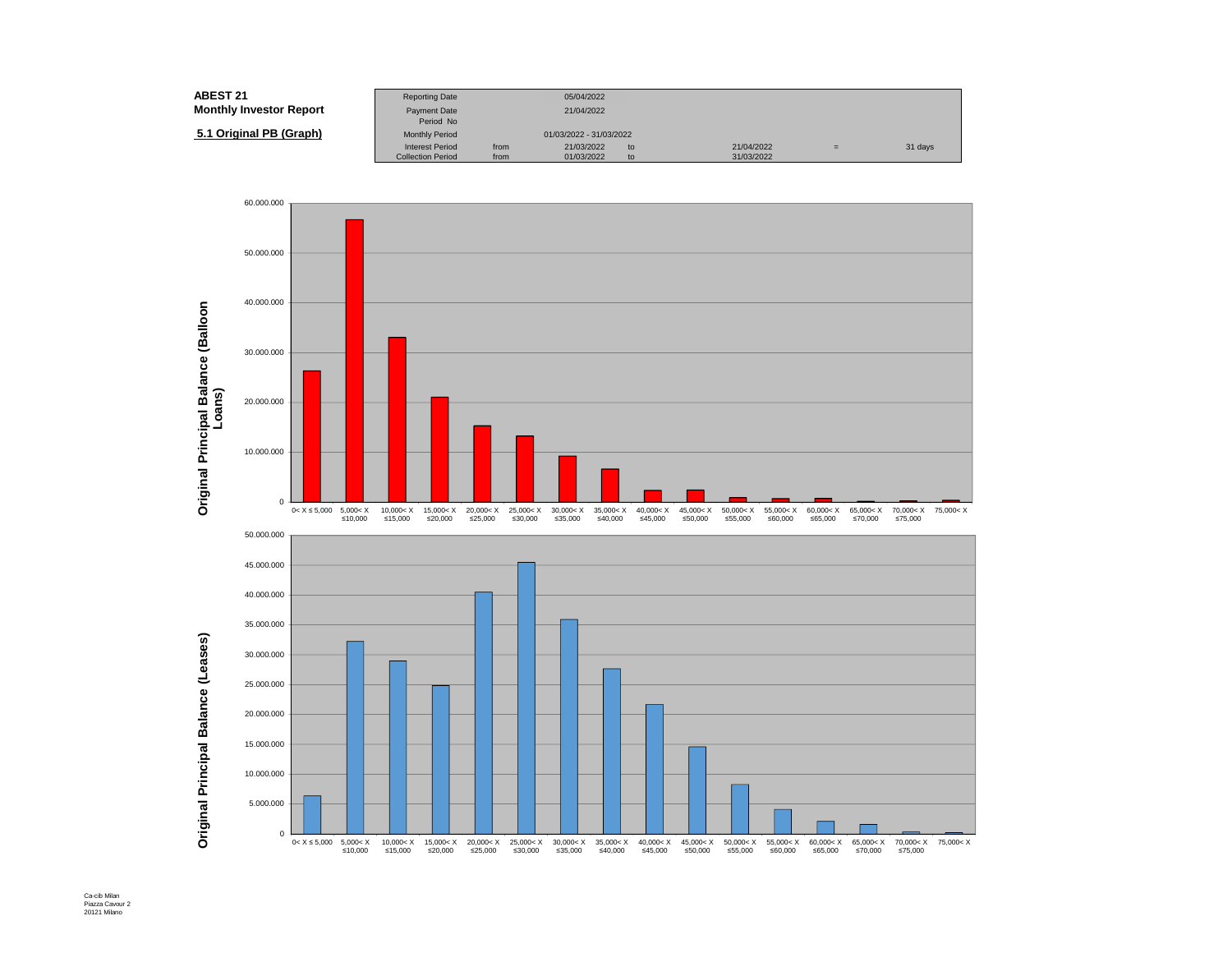| <b>ABEST 21</b>                | <b>Reporting Date</b>     |      | 05/04/2022              |    |            |     |         |
|--------------------------------|---------------------------|------|-------------------------|----|------------|-----|---------|
| <b>Monthly Investor Report</b> | Payment Date<br>Period No |      | 21/04/2022              |    |            |     |         |
| 5.1 Original PB (Graph)        | <b>Monthly Period</b>     |      | 01/03/2022 - 31/03/2022 |    |            |     |         |
|                                | <b>Interest Period</b>    | from | 21/03/2022              | to | 21/04/2022 | $=$ | 31 days |
|                                | <b>Collection Period</b>  | from | 01/03/2022              | to | 31/03/2022 |     |         |

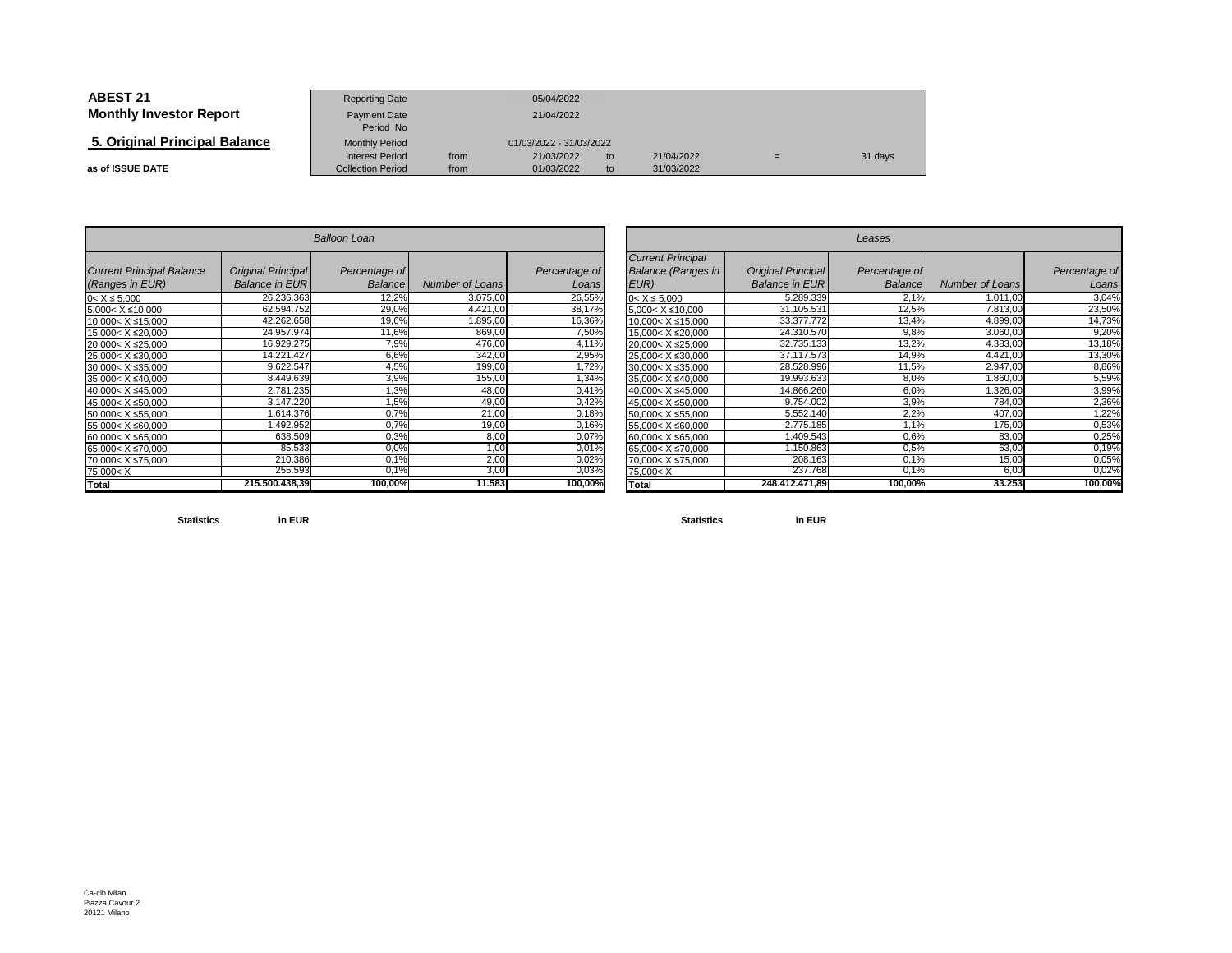| <b>ABEST 21</b>                | <b>Reporting Date</b>                              |              | 05/04/2022               |          |                          |     |         |
|--------------------------------|----------------------------------------------------|--------------|--------------------------|----------|--------------------------|-----|---------|
| <b>Monthly Investor Report</b> | <b>Payment Date</b><br>Period No                   |              | 21/04/2022               |          |                          |     |         |
| 5. Original Principal Balance  | <b>Monthly Period</b>                              |              | 01/03/2022 - 31/03/2022  |          |                          |     |         |
| as of ISSUE DATE               | <b>Interest Period</b><br><b>Collection Period</b> | from<br>from | 21/03/2022<br>01/03/2022 | to<br>to | 21/04/2022<br>31/03/2022 | $=$ | 31 days |

|                                                                                              |                                                    | <b>Balloon Loan</b>      |                        |                        |
|----------------------------------------------------------------------------------------------|----------------------------------------------------|--------------------------|------------------------|------------------------|
| <b>Current Principal Balance</b><br>(Ranges in EUR)                                          | <b>Original Principal</b><br><b>Balance in EUR</b> | Percentage of<br>Balance | <b>Number of Loans</b> | Percentage of<br>Loans |
| $0 < X \le 5,000$                                                                            | 26.236.363                                         | 12,2%                    | 3.075,00               | 26,55%                 |
| 5,000< X ≤10,000                                                                             | 62.594.752                                         | 29,0%                    | 4.421,00               | 38,17%                 |
| 10,000< X ≤15,000                                                                            | 42.262.658                                         | 19,6%                    | 1.895,00               | 16,36%                 |
| 15,000< X ≤20,000                                                                            | 24.957.974                                         | 11,6%                    | 869,00                 | 7,50%                  |
| 20,000< X ≤25,000                                                                            | 16.929.275                                         | 7,9%                     | 476,00                 | 4,11%                  |
| 25,000< X ≤30,000                                                                            | 14.221.427                                         | 6,6%                     | 342,00                 | 2,95%                  |
| 30,000< X ≤35,000                                                                            | 9.622.547                                          | 4,5%                     | 199,00                 | 1,72%                  |
| 35,000< X ≤40,000                                                                            | 8.449.639                                          | 3,9%                     | 155,00                 | 1,34%                  |
| 40,000< X ≤45,000                                                                            | 2.781.235                                          | 1,3%                     | 48,00                  | 0,41%                  |
| 45,000< X ≤50,000                                                                            | 3.147.220                                          | 1,5%                     | 49,00                  | 0,42%                  |
| 50,000< X ≤55,000                                                                            | 1.614.376                                          | 0.7%                     | 21,00                  | 0,18%                  |
| 55,000< X ≤60,000                                                                            | 1.492.952                                          | 0.7%                     | 19,00                  | 0,16%                  |
| 60,000< X ≤65,000                                                                            | 638.509                                            | 0,3%                     | 8,00                   | 0,07%                  |
| 65,000< X ≤70,000                                                                            | 85.533                                             | 0.0%                     | 1,00                   | 0,01%                  |
| 70,000< X ≤75,000                                                                            | 210.386                                            | 0.1%                     | 2,00                   | 0,02%                  |
| 75,000 <x< td=""><td>255.593</td><td><math>0.1\%</math></td><td>3,00</td><td>0,03%</td></x<> | 255.593                                            | $0.1\%$                  | 3,00                   | 0,03%                  |
| <b>Total</b>                                                                                 | 215.500.438.39                                     | 100,00%                  | 11.583                 | 100,00%                |

|                          |                           | <b>Balloon Loan</b> |                 |               |                                                                                              | Leases                    |               |                        |               |  |  |
|--------------------------|---------------------------|---------------------|-----------------|---------------|----------------------------------------------------------------------------------------------|---------------------------|---------------|------------------------|---------------|--|--|
| <b>Principal Balance</b> | <b>Original Principal</b> | Percentage of       |                 | Percentage of | <b>Current Principal</b><br><b>Balance (Ranges in</b>                                        | <b>Original Principal</b> | Percentage of |                        | Percentage of |  |  |
| s in EUR)                | <b>Balance in EURI</b>    | Balance             | Number of Loans | Loans         | EUR)                                                                                         | <b>Balance in EUR</b>     | Balance       | <b>Number of Loans</b> | Loans         |  |  |
| 000                      | 26.236.363                | 12,2%               | 3.075,00        | 26,55%        | $0 < X \le 5.000$                                                                            | 5.289.339                 | 2.1%          | 1.011,00               | 3,04%         |  |  |
| ≤10,000                  | 62.594.752                | 29,0%               | 4.421,00        | 38,17%        | $5,000 < X \le 10,000$                                                                       | 31.105.531                | 12,5%         | 7.813,00               | 23,50%        |  |  |
| X ≤15,000                | 42.262.658                | 19,6%               | 1.895,00        | 16,36%        | 10.000< X ≤15.000                                                                            | 33.377.772                | 13,4%         | 4.899,00               | 14,73%        |  |  |
| X ≤20,000                | 24.957.974                | 11,6%               | 869,00          | 7,50%         | 15,000< X ≤20,000                                                                            | 24.310.570                | 9,8%          | 3.060,00               | 9,20%         |  |  |
| X ≤25,000                | 16.929.275                | 7,9%                | 476,00          | 4,11%         | 20,000< X ≤25,000                                                                            | 32.735.133                | 13,2%         | 4.383,00               | 13,18%        |  |  |
| $X \le 30,000$           | 14.221.427                | 6,6%                | 342,00          | 2,95%         | 25,000< X ≤30,000                                                                            | 37.117.573                | 14,9%         | 4.421,00               | 13,30%        |  |  |
| X ≤35,000                | 9.622.547                 | 4,5%                | 199,00          | 1,72%         | 30,000< X ≤35,000                                                                            | 28.528.996                | 11,5%         | 2.947,00               | 8,86%         |  |  |
| $X \le 40,000$           | 8.449.639                 | 3,9%                | 155,00          | 1,34%         | 35,000< X ≤40,000                                                                            | 19.993.633                | 8,0%          | .860,00                | 5,59%         |  |  |
| X ≤45,000                | 2.781.235                 | 1,3%                | 48,00           | 0,41%         | 40,000< X ≤45,000                                                                            | 14.866.260                | 6,0%          | .326,00                | 3,99%         |  |  |
| X ≤50,000                | 3.147.220                 | 1,5%                | 49,00           | 0,42%         | 45,000< X ≤50,000                                                                            | 9.754.002                 | 3,9%          | 784,00                 | 2,36%         |  |  |
| X ≤55,000                | 1.614.376                 | 0.7%                | 21,00           | 0,18%         | 50,000< X ≤55,000                                                                            | 5.552.140                 | 2,2%          | 407,00                 | 1,22%         |  |  |
| $X \le 60,000$           | .492.952                  | 0.7%                | 19,00           | 0,16%         | 55,000< X ≤60,000                                                                            | 2.775.185                 | 1.1%          | 175,00                 | 0,53%         |  |  |
| X ≤65,000                | 638.509                   | 0.3%                | 8,00            | 0,07%         | 60,000< X ≤65,000                                                                            | 1.409.543                 | 0,6%          | 83,00                  | 0,25%         |  |  |
| X ≤70,000                | 85.533                    | 0.0%                | 1,00            | 0,01%         | 65,000< X ≤70,000                                                                            | 1.150.863                 | 0.5%          | 63,00                  | 0,19%         |  |  |
| X ≤75,000                | 210.386                   | 0.1%                | 2,00            | 0,02%         | 70,000< X ≤75,000                                                                            | 208.163                   | 0.1%          | 15,00                  | 0,05%         |  |  |
|                          | 255.593                   | 0,1%                | 3,00            | 0,03%         | 75,000 <x< td=""><td>237.768</td><td><math>0.1\%</math></td><td>6,00</td><td>0,02%</td></x<> | 237.768                   | $0.1\%$       | 6,00                   | 0,02%         |  |  |
|                          | 215.500.438,39            | 100,00%             | 11.583          | 100,00%       | <b>Total</b>                                                                                 | 248.412.471.89            | 100,00%       | 33.253                 | 100,00%       |  |  |

**Statistics**

**in EUR**

**Statistics in EUR**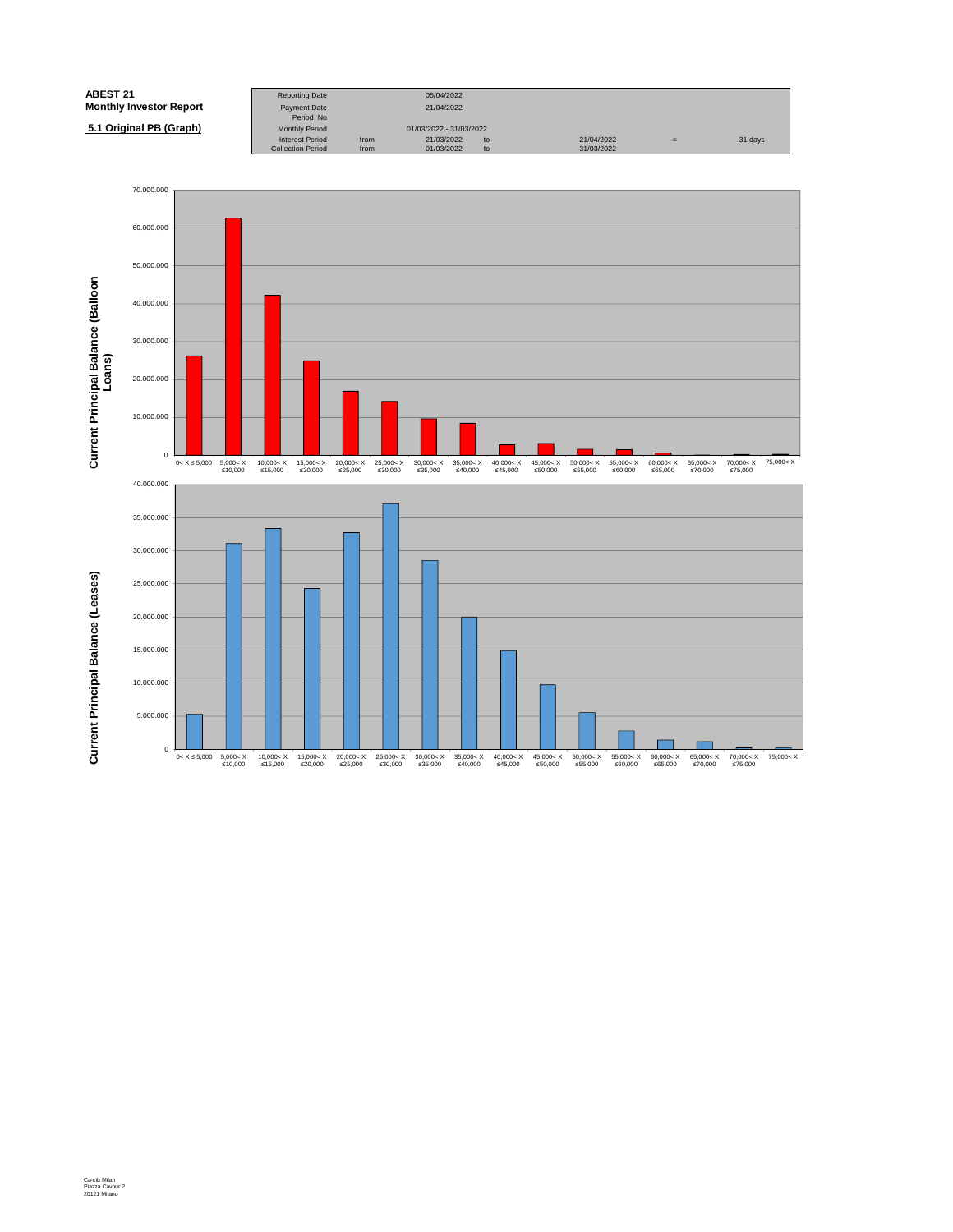| <b>ABEST 21</b>                | <b>Reporting Date</b>            |      | 05/04/2022              |    |            |   |         |
|--------------------------------|----------------------------------|------|-------------------------|----|------------|---|---------|
| <b>Monthly Investor Report</b> | <b>Payment Date</b><br>Period No |      | 21/04/2022              |    |            |   |         |
| 5.1 Original PB (Graph)        | <b>Monthly Period</b>            |      | 01/03/2022 - 31/03/2022 |    |            |   |         |
|                                | <b>Interest Period</b>           | from | 21/03/2022              | to | 21/04/2022 | = | 31 days |
|                                | <b>Collection Period</b>         | from | 01/03/2022              | to | 31/03/2022 |   |         |

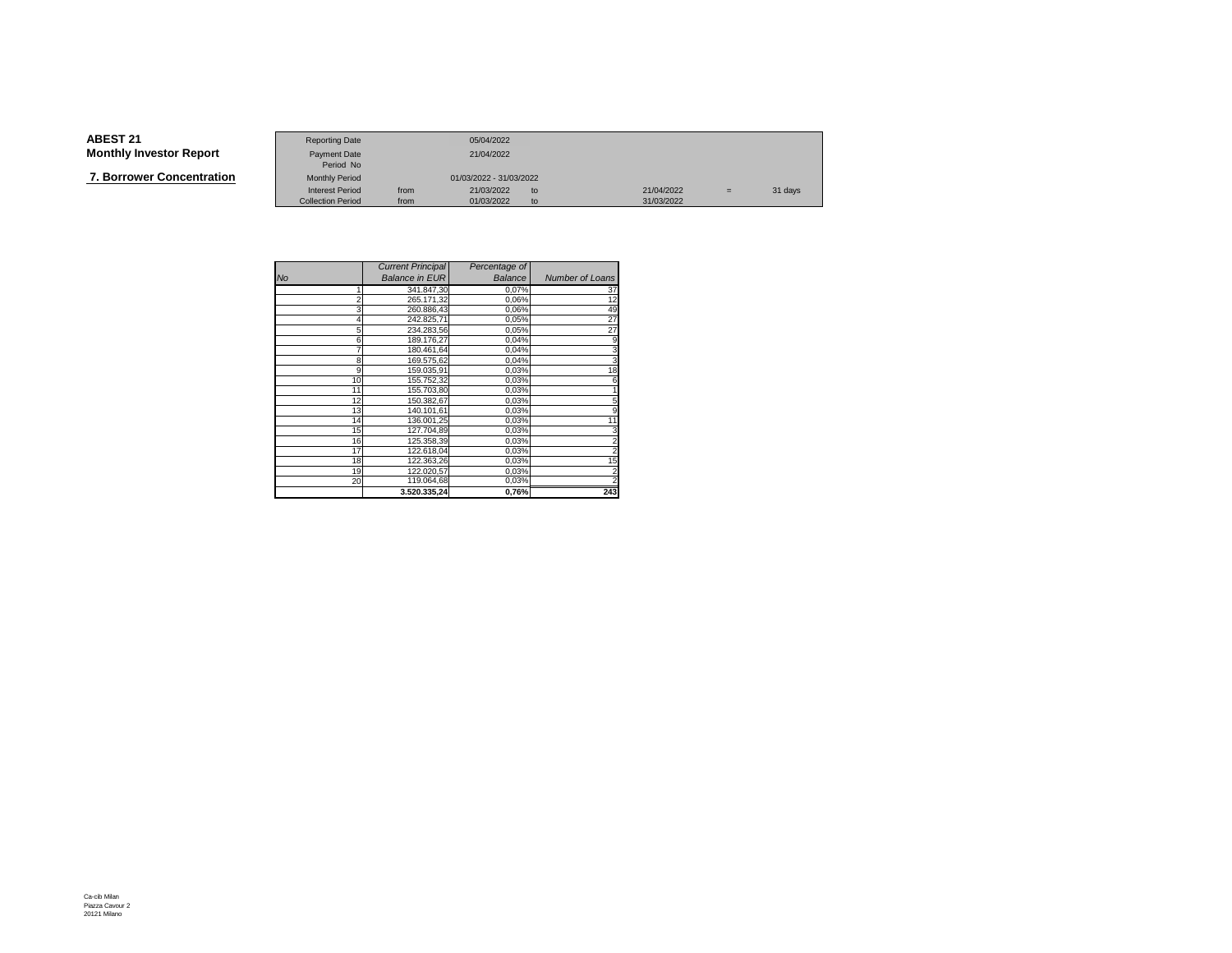**7. Borrower Concentration**

|                   | <b>Reporting Date</b>    |      | 05/04/2022              |    |            |     |         |
|-------------------|--------------------------|------|-------------------------|----|------------|-----|---------|
| Investor Report   | Payment Date             |      | 21/04/2022              |    |            |     |         |
|                   | Period No                |      |                         |    |            |     |         |
| wer Concentration | <b>Monthly Period</b>    |      | 01/03/2022 - 31/03/2022 |    |            |     |         |
|                   | <b>Interest Period</b>   | from | 21/03/2022              | to | 21/04/2022 | $=$ | 31 days |
|                   | <b>Collection Period</b> | from | 01/03/2022              | to | 31/03/2022 |     |         |

|                | <b>Current Principal</b> | Percentage of |                        |
|----------------|--------------------------|---------------|------------------------|
| <b>No</b>      | <b>Balance in EUR</b>    | Balance       | <b>Number of Loans</b> |
|                | 341.847,30               | 0,07%         | 37                     |
| $\overline{c}$ | 265.171,32               | 0,06%         | 12                     |
| 3              | 260.886,43               | 0,06%         | 49                     |
|                | 242.825,71               | 0,05%         | 27                     |
| 5              | 234.283.56               | 0,05%         | 27                     |
| 6              | 189.176,27               | 0,04%         | 9                      |
|                | 180.461,64               | 0,04%         | 3                      |
| 8              | 169.575,62               | 0,04%         | 3                      |
| 9              | 159.035.91               | 0,03%         | 18                     |
| 10             | 155.752,32               | 0,03%         | 6                      |
| 11             | 155.703,80               | 0,03%         |                        |
| 12             | 150.382.67               | 0,03%         | 5                      |
| 13             | 140.101,61               | 0,03%         | 9                      |
| 14             | 136.001,25               | 0,03%         | 11                     |
| 15             | 127.704,89               | 0,03%         | 3                      |
| 16             | 125.358,39               | 0,03%         |                        |
| 17             | 122.618,04               | 0,03%         | $\overline{2}$         |
| 18             | 122.363,26               | 0,03%         | 15                     |
| 19             | 122.020,57               | 0,03%         |                        |
| 20             | 119.064,68               | 0,03%         |                        |
|                | 3.520.335,24             | 0,76%         | 243                    |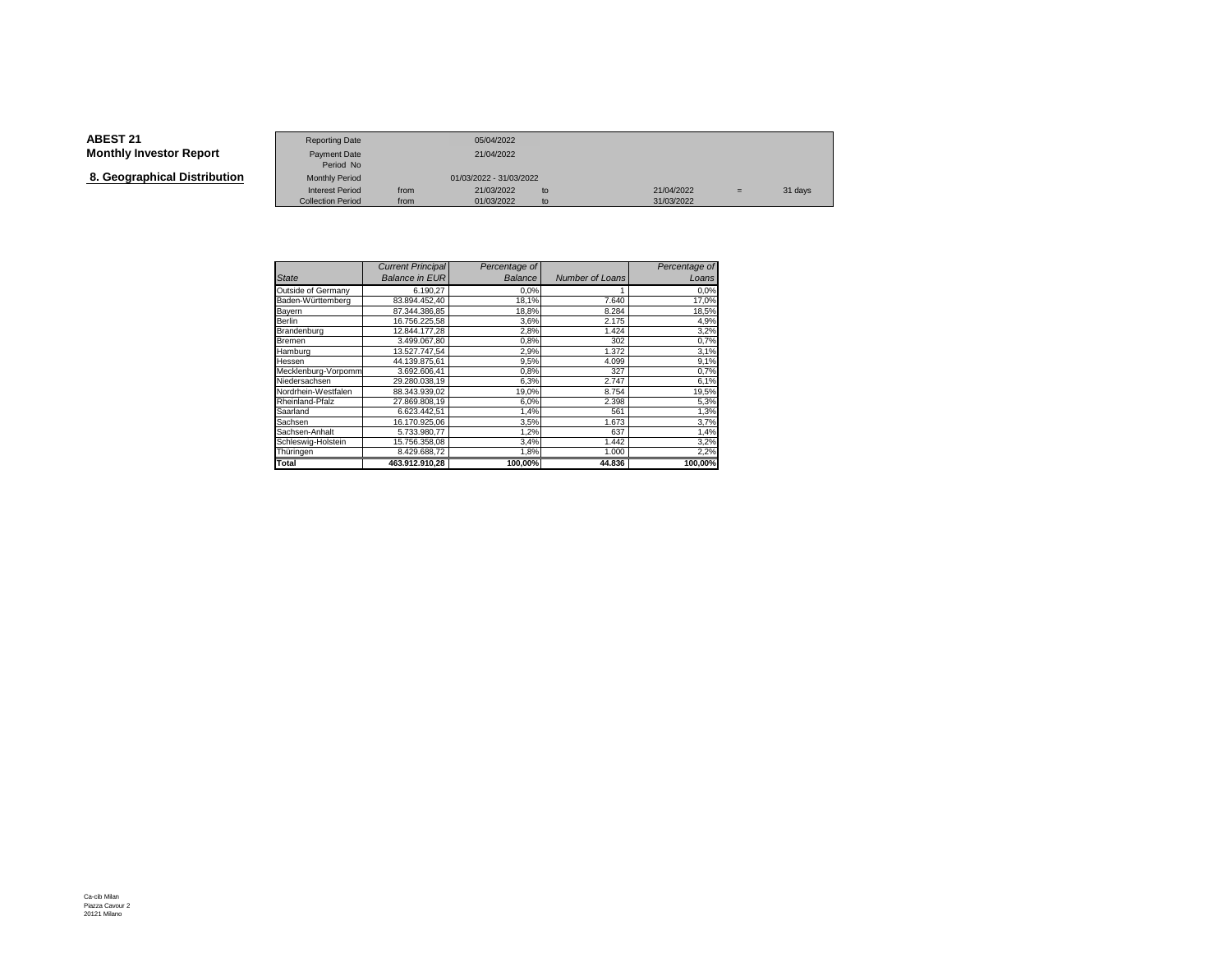**8. Geographical Distribution**

|                                   | <b>Reporting Date</b>     |      | 05/04/2022              |    |            |     |         |
|-----------------------------------|---------------------------|------|-------------------------|----|------------|-----|---------|
| Investor Report                   | Payment Date<br>Period No |      | 21/04/2022              |    |            |     |         |
| aphical Distribution <sup>.</sup> | <b>Monthly Period</b>     |      | 01/03/2022 - 31/03/2022 |    |            |     |         |
|                                   | <b>Interest Period</b>    | from | 21/03/2022              | to | 21/04/2022 | $=$ | 31 days |
|                                   | <b>Collection Period</b>  | from | 01/03/2022              | to | 31/03/2022 |     |         |

|                     | <b>Current Principal</b> | Percentage of |                 | Percentage of |
|---------------------|--------------------------|---------------|-----------------|---------------|
| <b>State</b>        | <b>Balance in EUR</b>    | Balance       | Number of Loans | Loans         |
| Outside of Germany  | 6.190,27                 | 0.0%          | 1               | 0.0%          |
| Baden-Württemberg   | 83.894.452.40            | 18,1%         | 7.640           | 17,0%         |
| Bayern              | 87.344.386.85            | 18,8%         | 8.284           | 18,5%         |
| Berlin              | 16.756.225.58            | 3,6%          | 2.175           | 4,9%          |
| Brandenburg         | 12.844.177,28            | 2,8%          | 1.424           | 3,2%          |
| Bremen              | 3.499.067,80             | 0,8%          | 302             | 0,7%          |
| Hamburg             | 13.527.747.54            | 2,9%          | 1.372           | 3,1%          |
| Hessen              | 44.139.875.61            | 9,5%          | 4.099           | 9,1%          |
| Mecklenburg-Vorpomm | 3.692.606.41             | 0,8%          | 327             | 0,7%          |
| Niedersachsen       | 29.280.038,19            | 6,3%          | 2.747           | 6,1%          |
| Nordrhein-Westfalen | 88.343.939,02            | 19,0%         | 8.754           | 19,5%         |
| Rheinland-Pfalz     | 27.869.808,19            | 6,0%          | 2.398           | 5,3%          |
| Saarland            | 6.623.442.51             | 1,4%          | 561             | 1,3%          |
| Sachsen             | 16.170.925.06            | 3,5%          | 1.673           | 3,7%          |
| Sachsen-Anhalt      | 5.733.980.77             | 1,2%          | 637             | 1,4%          |
| Schleswig-Holstein  | 15.756.358,08            | 3,4%          | 1.442           | 3,2%          |
| Thüringen           | 8.429.688,72             | 1,8%          | 1.000           | 2,2%          |
| Total               | 463.912.910.28           | 100,00%       | 44.836          | 100,00%       |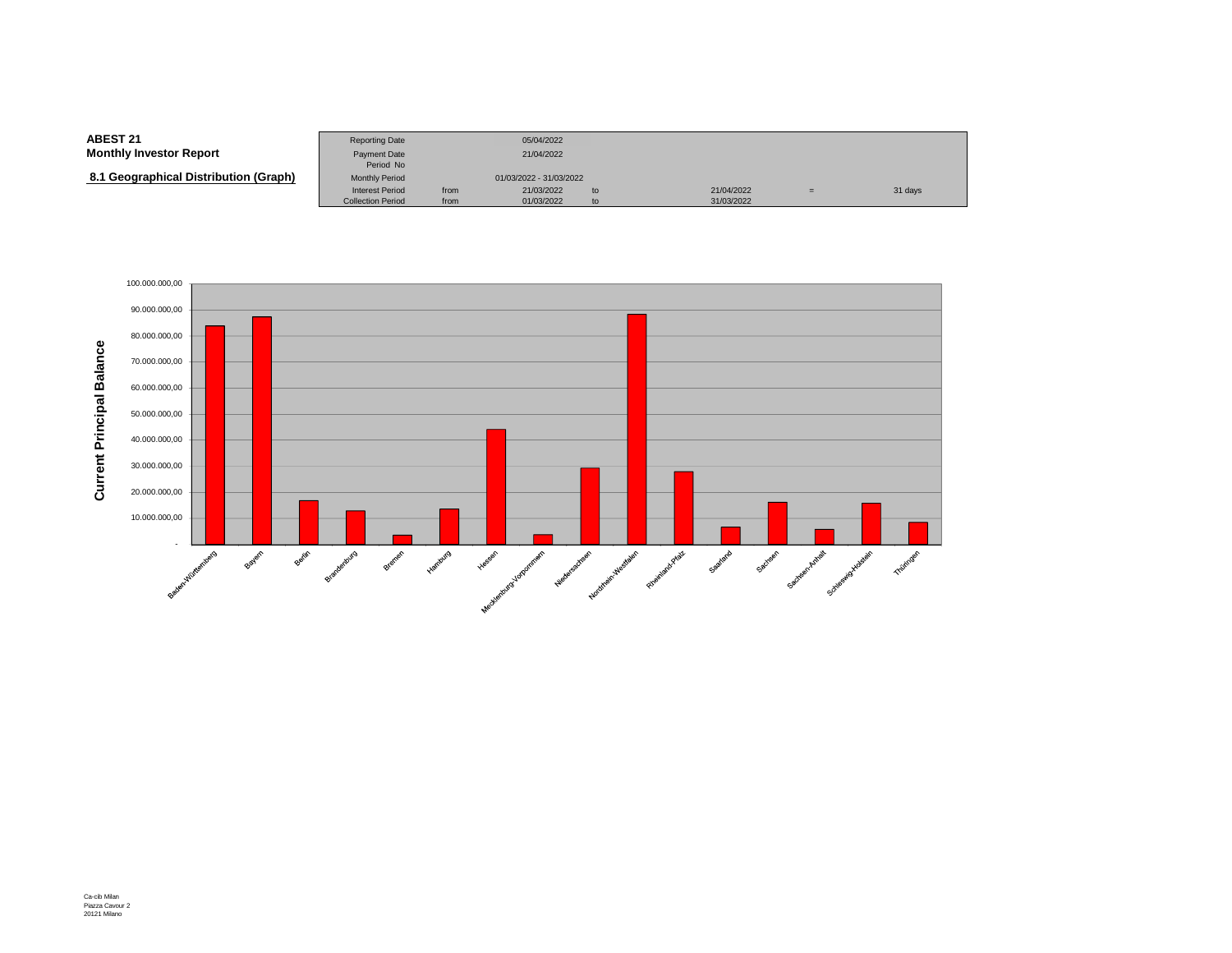#### **ABEST 21**Reporting Date 05/04/2022<br>Payment Date 21/04/2022 **Monthly Investor Report**Payment Date Period NoMonthly Period  **8.1 Geographical Distribution (Graph)**Monthly Period 01/03/2022 - 31/03/2022<br>Interest Period from 21/03/2022 Interest Period from 21/03/2022 to 21/04/2022 <sup>=</sup> 31 daysCollection Period from 01/03/2022 to 31/03/2022

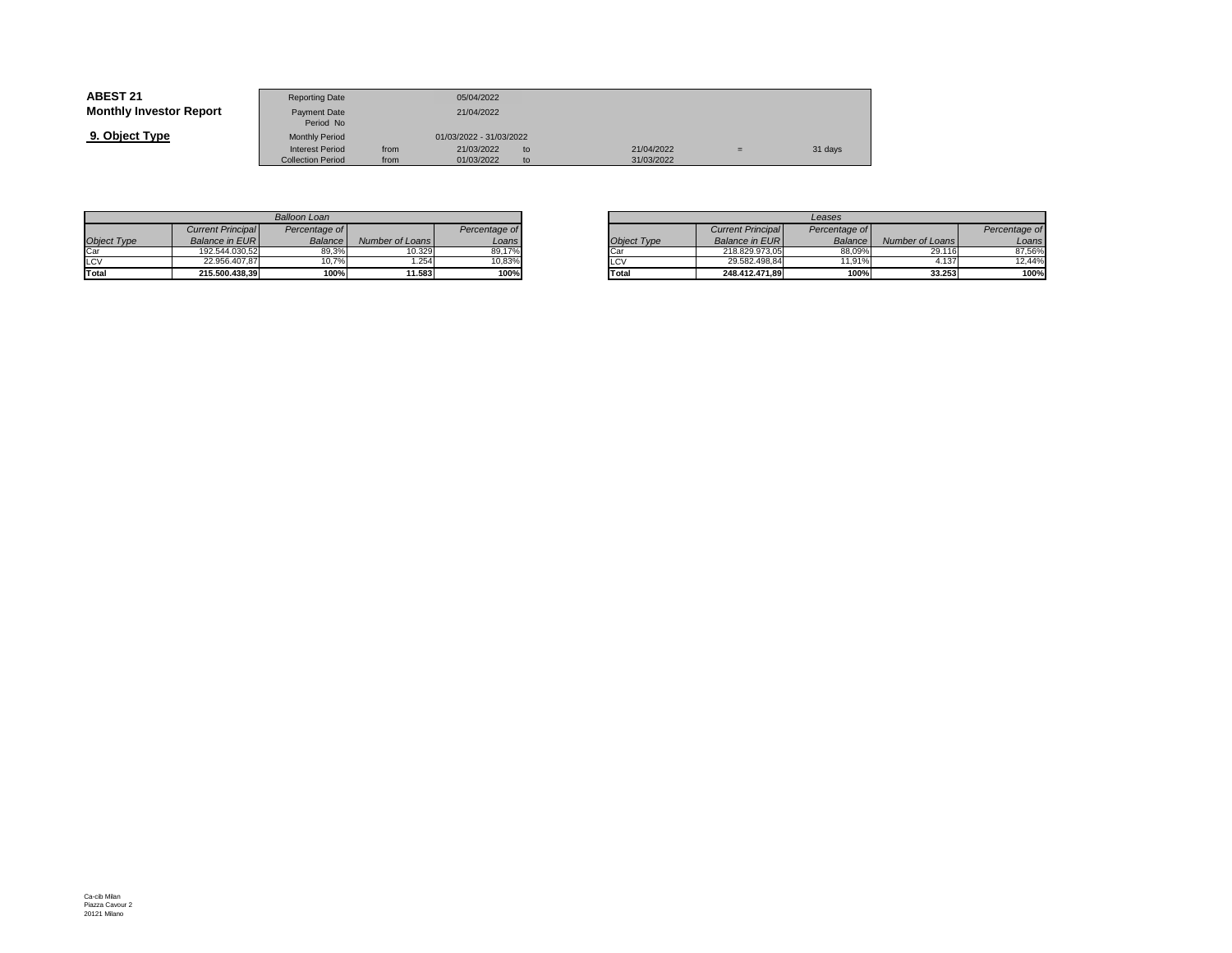| <b>ABEST 21</b>                | <b>Reporting Date</b>            |      | 05/04/2022              |     |            |     |         |
|--------------------------------|----------------------------------|------|-------------------------|-----|------------|-----|---------|
| <b>Monthly Investor Report</b> | <b>Payment Date</b><br>Period No |      | 21/04/2022              |     |            |     |         |
| 9. Object Type                 | <b>Monthly Period</b>            |      | 01/03/2022 - 31/03/2022 |     |            |     |         |
|                                | <b>Interest Period</b>           | from | 21/03/2022              | to. | 21/04/2022 | $=$ | 31 days |
|                                | <b>Collection Period</b>         | from | 01/03/2022              | to. | 31/03/2022 |     |         |

|                    |                          | Balloon Loan  |                 |               |
|--------------------|--------------------------|---------------|-----------------|---------------|
|                    | <b>Current Principal</b> | Percentage of |                 | Percentage of |
| <b>Object Type</b> | Balance in EUR           | Balance       | Number of Loans | Loans         |
| Car                | 192.544.030.52           | 89.3%         | 10.329          | 89,17%        |
| LCV                | 22.956.407.87            | 10.7%         | .254            | 10.83%        |
| Total              | 215.500.438.39           | 100%          | 11.583          | 100%          |

|       |                 |               |             |                          | Leases         |                 |
|-------|-----------------|---------------|-------------|--------------------------|----------------|-----------------|
| ae of |                 | Percentage of |             | <b>Current Principal</b> | Percentage of  |                 |
| ance  | Number of Loans | Loans         | Object Type | <b>Balance in EURI</b>   | <b>Balance</b> | Number of Loans |
| 39.3% | 10.329          | 89.17%        | Car         | 218.829.973.05           | 88.09%         | 29.116          |
| 0.7%  | .254            | 10.83%        | LCV         | 29.582.498.84            | $11.91\%$      | 4.137           |
| 100%  | 11.583          | 100%          | Total       | 248.412.471.89           | 100%           | 33.253          |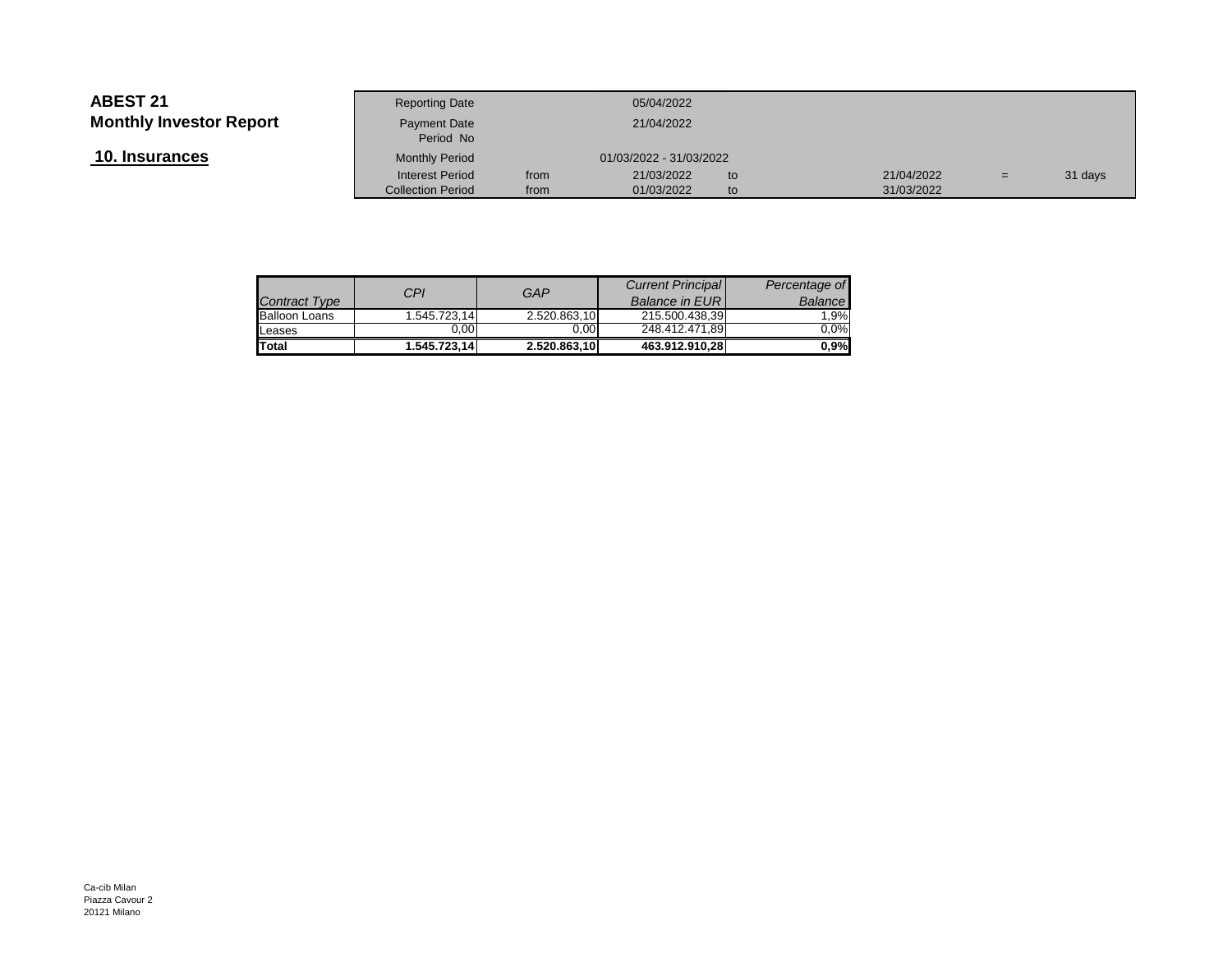**10. Insurances**

|                 | <b>Reporting Date</b>     |      | 05/04/2022              |    |            |     |         |
|-----------------|---------------------------|------|-------------------------|----|------------|-----|---------|
| Investor Report | Payment Date<br>Period No |      | 21/04/2022              |    |            |     |         |
| <u>ances</u>    | <b>Monthly Period</b>     |      | 01/03/2022 - 31/03/2022 |    |            |     |         |
|                 | <b>Interest Period</b>    | from | 21/03/2022              | to | 21/04/2022 | $=$ | 31 days |
|                 | <b>Collection Period</b>  | from | 01/03/2022              | to | 31/03/2022 |     |         |
|                 |                           |      |                         |    |            |     |         |

| Contract Type        | CPI          | GAP          | <b>Current Principal</b><br><b>Balance in EURI</b> | Percentage of<br>Balance |
|----------------------|--------------|--------------|----------------------------------------------------|--------------------------|
| <b>Balloon Loans</b> | 1.545.723.14 | 2.520.863,10 | 215.500.438.39                                     | 1.9%                     |
| Leases               | 0.00         | 0.00         | 248.412.471.89                                     | $0.0\%$                  |
| <b>Total</b>         | 1.545.723.14 | 2.520.863.10 | 463.912.910.28                                     | $0.9\%$                  |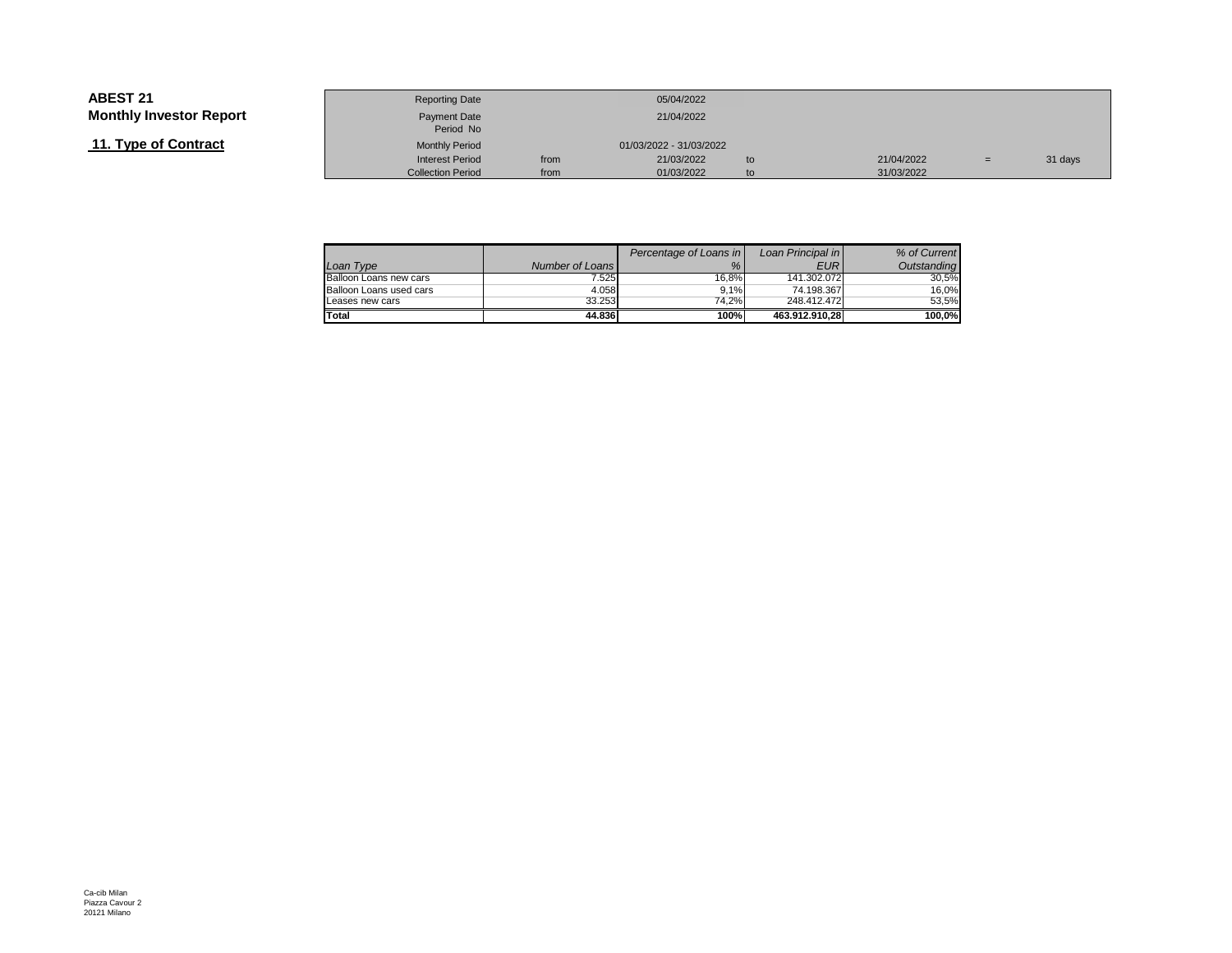# **11. Type of Contract**

|                 | <b>Reporting Date</b>     |      | 05/04/2022              |    |            |     |         |
|-----------------|---------------------------|------|-------------------------|----|------------|-----|---------|
| Investor Report | Payment Date<br>Period No |      | 21/04/2022              |    |            |     |         |
| of Contract     | <b>Monthly Period</b>     |      | 01/03/2022 - 31/03/2022 |    |            |     |         |
|                 | <b>Interest Period</b>    | from | 21/03/2022              | to | 21/04/2022 | $=$ | 31 days |
|                 | <b>Collection Period</b>  | from | 01/03/2022              | to | 31/03/2022 |     |         |

|                         |                 | Percentage of Loans in | Loan Principal in | % of Current |
|-------------------------|-----------------|------------------------|-------------------|--------------|
| Loan Type               | Number of Loans | %                      | <b>EUR</b>        | Outstanding  |
| Balloon Loans new cars  | 7.525           | 16.8%                  | 141.302.072       | 30.5%        |
| Balloon Loans used cars | 4.058           | 9.1%                   | 74.198.367        | 16.0%        |
| Leases new cars         | 33.253          | 74.2%                  | 248.412.472       | 53.5%        |
| Total                   | 44.836          | 100%                   | 463.912.910.28    | 100.0%       |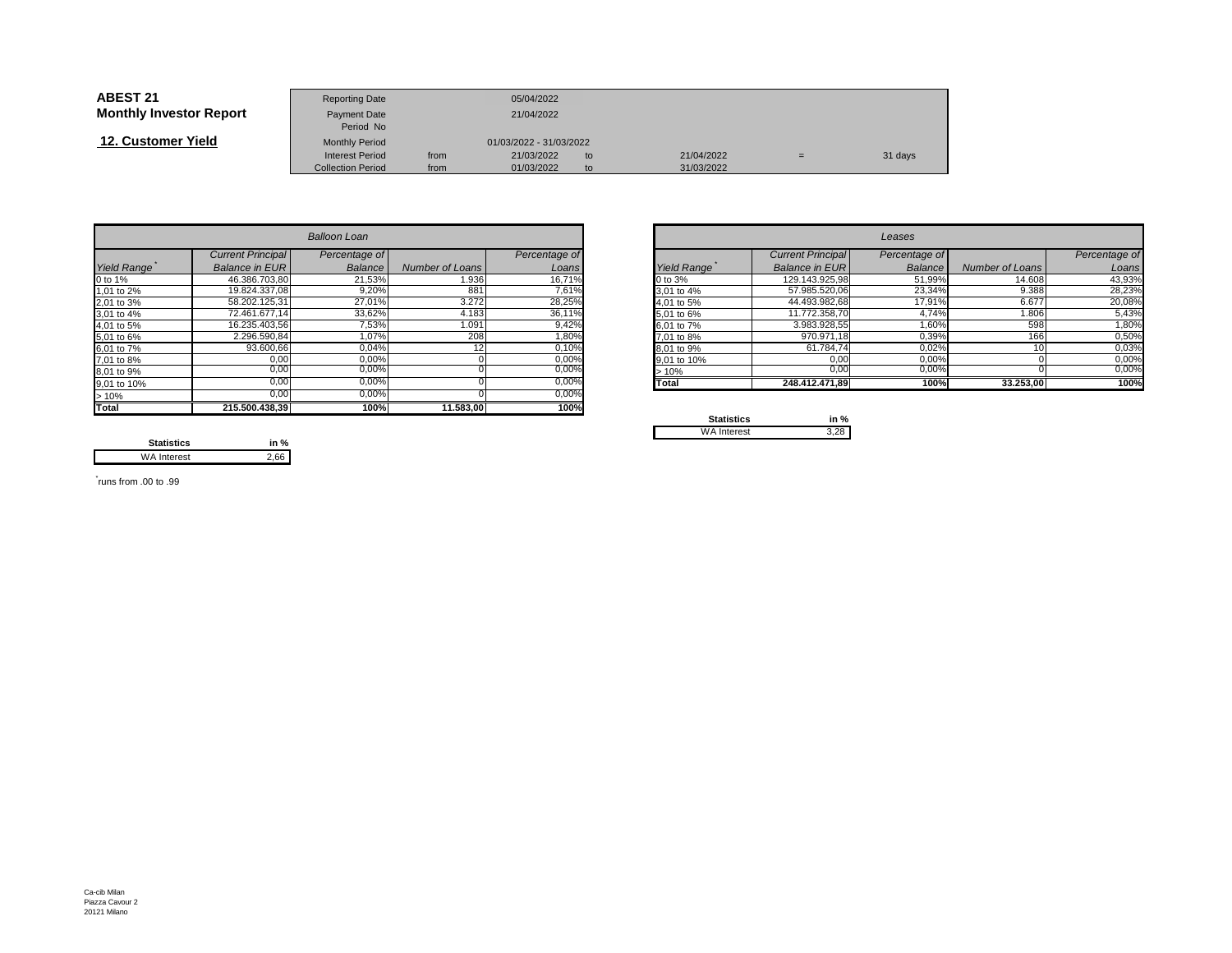| <b>ABEST 21</b>                | <b>Reporting Date</b>     |      | 05/04/2022              |    |            |     |         |
|--------------------------------|---------------------------|------|-------------------------|----|------------|-----|---------|
| <b>Monthly Investor Report</b> | Payment Date<br>Period No |      | 21/04/2022              |    |            |     |         |
| 12. Customer Yield             | <b>Monthly Period</b>     |      | 01/03/2022 - 31/03/2022 |    |            |     |         |
|                                | <b>Interest Period</b>    | from | 21/03/2022              | to | 21/04/2022 | $=$ | 31 days |
|                                | <b>Collection Period</b>  | from | 01/03/2022              | to | 31/03/2022 |     |         |

|                    |                          | <b>Balloon Loan</b> |                 |               |             |                          | Leases        |                 |               |
|--------------------|--------------------------|---------------------|-----------------|---------------|-------------|--------------------------|---------------|-----------------|---------------|
|                    | <b>Current Principal</b> | Percentage of       |                 | Percentage of |             | <b>Current Principal</b> | Percentage of |                 | Percentage of |
| <b>Yield Range</b> | <b>Balance in EURI</b>   | Balance             | Number of Loans | Loans         | Yield Range | <b>Balance in EURI</b>   | Balance       | Number of Loans | Loans         |
| 0 to 1%            | 46.386.703,80            | 21,53%              | 1.936           | 16,71%        | 0 to 3%     | 129.143.925,98           | 51,99%        | 14.608          | 43,93%        |
| 1,01 to 2%         | 19.824.337.08            | 9,20%               | 881             | 7,61%         | 3,01 to 4%  | 57.985.520,06            | 23,34%        | 9.388           | 28,23%        |
| 2,01 to 3%         | 58.202.125.31            | 27,01%              | 3.272           | 28,25%        | 4.01 to 5%  | 44.493.982,68            | 17,91%        | 6.677           | 20,08%        |
| 3,01 to 4%         | 72.461.677.14            | 33,62%              | 4.183           | 36,11%        | 5,01 to 6%  | 11.772.358,70            | 4,74%         | 1.806           | 5,43%         |
| 4,01 to 5%         | 16.235.403,56            | 7,53%               | 1.091           | 9,42%         | 6,01 to 7%  | 3.983.928,55             | 1,60%         | 598             | 1,80%         |
| 5,01 to 6%         | 2.296.590,84             | 1,07%               | 208             | 1,80%         | 7,01 to 8%  | 970.971.18               | 0,39%         | 166             | 0,50%         |
| 6,01 to 7%         | 93.600,66                | 0,04%               |                 | 0,10%         | 8,01 to 9%  | 61.784,74                | 0,02%         |                 | 0,03%         |
| 7,01 to 8%         | 0,00                     | 0,00%               |                 | 0,00%         | 9,01 to 10% | 0,00                     | 0,00%         |                 | 0,00%         |
| 8,01 to 9%         | 0,00                     | 0,00%               |                 | $0,00\%$      | >10%        | 0,00                     | 0,00%         |                 | 0,00%         |
| 9,01 to 10%        | 0.00                     | 0.00%               |                 | 0,00%         | Total       | 248.412.471.89           | 100%          | 33.253,00       | 100%          |
| >10%               | 0,00                     | 0,00%               |                 | 0,00%         |             |                          |               |                 |               |
| <b>Total</b>       | 215.500.438,39           | 100%                | 11.583,00       | 100%          | Capalonico  | $1 - 0$                  |               |                 |               |

|       |                       | <b>Balloon Loan</b> |                 |               | Leases      |                          |                |                 |               |
|-------|-----------------------|---------------------|-----------------|---------------|-------------|--------------------------|----------------|-----------------|---------------|
|       | Current Principal     | Percentage of       |                 | Percentage of |             | <b>Current Principal</b> | Percentage of  |                 | Percentage of |
| Range | <b>Balance in EUR</b> | Balance             | Number of Loans | Loans         | Yield Range | Balance in EUR           | <b>Balance</b> | Number of Loans | Loans         |
|       | 46.386.703,80         | 21,53%              | 1.936           | 16,71%        | 0 to 3%     | 129.143.925,98           | 51,99%         | 14.608          | 43,93%        |
| o 2%  | 19.824.337,08         | 9,20%               | 881             | 7,61%         | 3,01 to 4%  | 57.985.520,06            | 23,34%         | 9.388           | 28,23%        |
| o 3%  | 58.202.125,31         | 27,01%              | 3.272           | 28,25%        | 4,01 to 5%  | 44.493.982,68            | 17,91%         | 6.677           | 20,08%        |
| o 4%  | 72.461.677.14         | 33,62%              | 4.183           | 36,11%        | 5,01 to 6%  | 11.772.358,70            | 4,74%          | 1.806           | 5,43%         |
| o 5%  | 16.235.403,56         | 7,53%               | 1.091           | 9,42%         | 6,01 to 7%  | 3.983.928,55             | 1,60%          | 598             | 1,80%         |
| о 6%  | 2.296.590,84          | 1,07%               | 208             | 1,80%         | 7.01 to 8%  | 970.971,18               | 0,39%          | 166             | 0,50%         |
| o 7%  | 93.600,66             | 0,04%               |                 | 0,10%         | 8.01 to 9%  | 61.784,74                | 0,02%          |                 | 0,03%         |
| o 8%  | 0,00                  | 0,00%               |                 | 0,00%         | 9,01 to 10% | 0,00                     | 0,00%          |                 | 0,00%         |
| о 9%  | 0,00                  | $0,00\%$            |                 | 0,00%         | >10%        | 0,00                     | 0,00%          |                 | $0,00\%$      |
| o 10% | 0,00                  | 0,00%               |                 | $0,00\%$      | Total       | 248.412.471,89           | 100%           | 33.253,00       | 100%          |
|       |                       |                     |                 |               |             |                          |                |                 |               |

| <b>Statistics</b>  | in % |
|--------------------|------|
| <b>WA Interest</b> |      |

**Statistics in %** $2,66$ WA Interest

\* runs from .00 to .99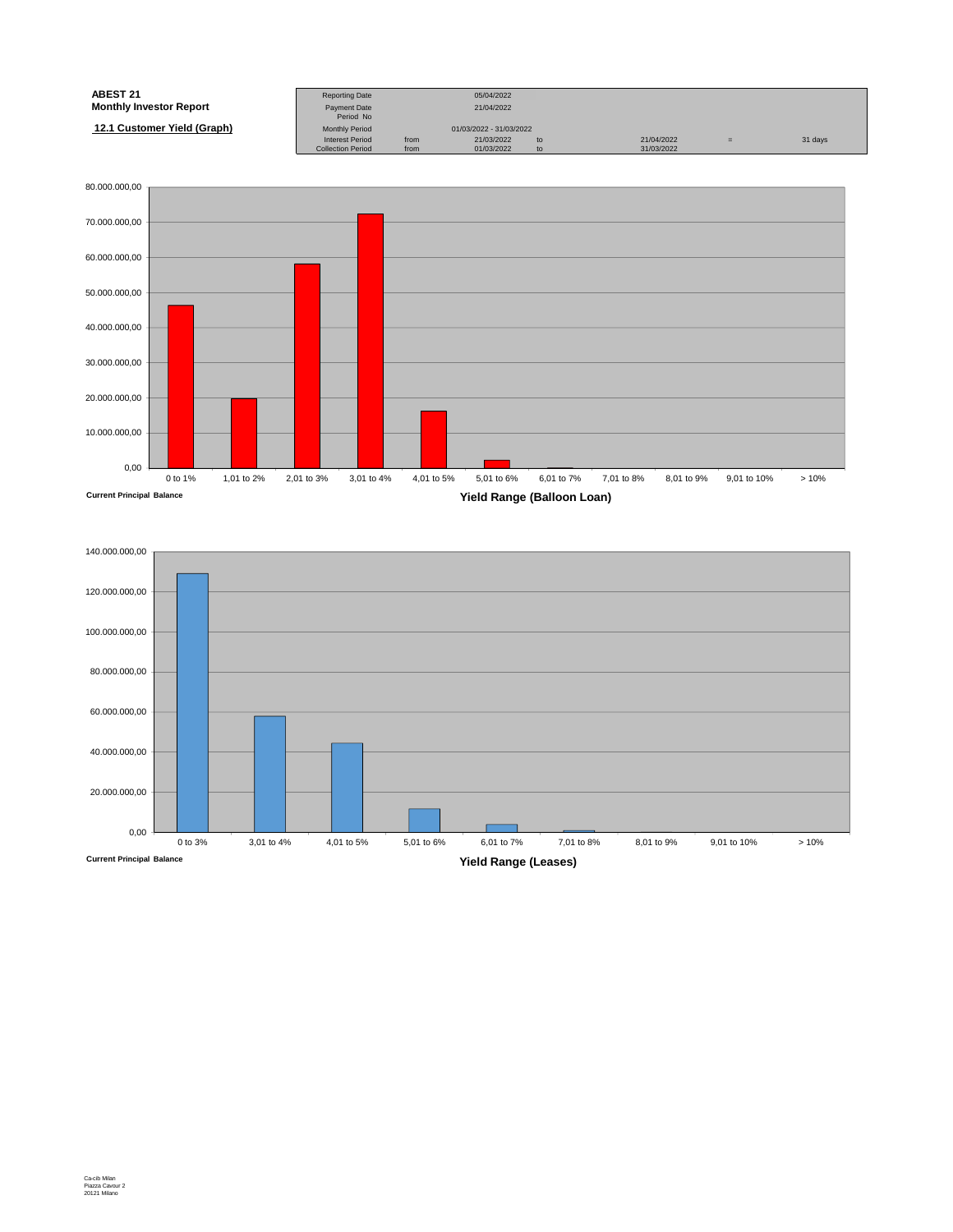| ABEST 21                       | <b>Reporting Date</b>     |      | 05/04/2022              |    |            |     |         |
|--------------------------------|---------------------------|------|-------------------------|----|------------|-----|---------|
| <b>Monthly Investor Report</b> | Payment Date<br>Period No |      | 21/04/2022              |    |            |     |         |
| 12.1 Customer Yield (Graph)    | <b>Monthly Period</b>     |      | 01/03/2022 - 31/03/2022 |    |            |     |         |
|                                | <b>Interest Period</b>    | from | 21/03/2022              | to | 21/04/2022 | $=$ | 31 days |
|                                | <b>Collection Period</b>  | from | 01/03/2022              | to | 31/03/2022 |     |         |



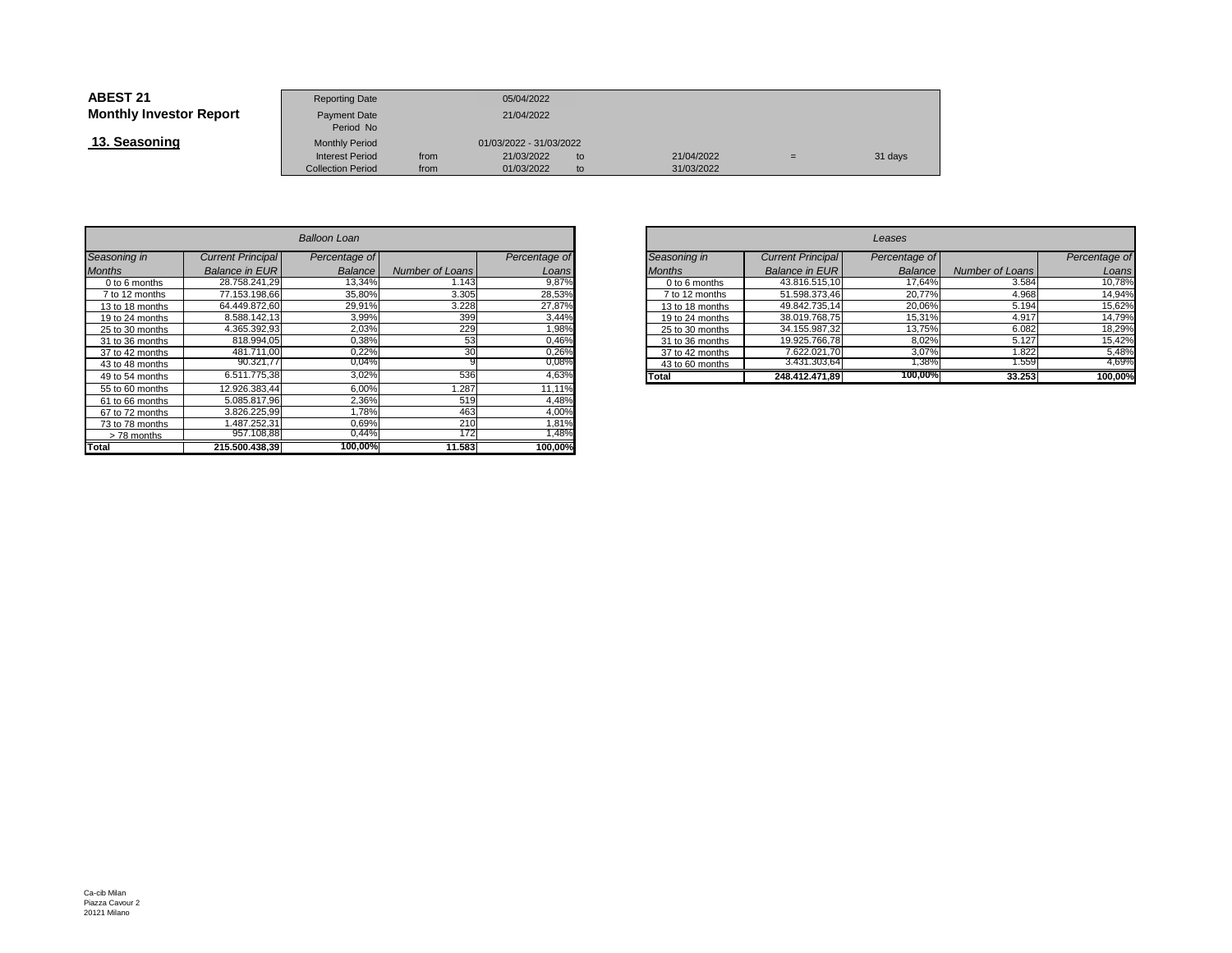| <b>ABEST 21</b>                | <b>Reporting Date</b>     |      | 05/04/2022              |    |            |     |         |
|--------------------------------|---------------------------|------|-------------------------|----|------------|-----|---------|
| <b>Monthly Investor Report</b> | Payment Date<br>Period No |      | 21/04/2022              |    |            |     |         |
| 13. Seasoning                  | <b>Monthly Period</b>     |      | 01/03/2022 - 31/03/2022 |    |            |     |         |
|                                | <b>Interest Period</b>    | from | 21/03/2022              | to | 21/04/2022 | $=$ | 31 days |
|                                | <b>Collection Period</b>  | from | 01/03/2022              | to | 31/03/2022 |     |         |

|                 | Balloon Loan             |                |                 |               |  |  |  |  |  |  |  |
|-----------------|--------------------------|----------------|-----------------|---------------|--|--|--|--|--|--|--|
| Seasoning in    | <b>Current Principal</b> | Percentage of  |                 | Percentage of |  |  |  |  |  |  |  |
| <b>Months</b>   | <b>Balance in EUR</b>    | <b>Balance</b> | Number of Loans | Loans         |  |  |  |  |  |  |  |
| 0 to 6 months   | 28.758.241.29            | 13,34%         | 1.143           | 9,87%         |  |  |  |  |  |  |  |
| 7 to 12 months  | 77.153.198.66            | 35,80%         | 3.305           | 28,53%        |  |  |  |  |  |  |  |
| 13 to 18 months | 64.449.872.60            | 29,91%         | 3.228           | 27,87%        |  |  |  |  |  |  |  |
| 19 to 24 months | 8.588.142.13             | 3.99%          | 399             | 3,44%         |  |  |  |  |  |  |  |
| 25 to 30 months | 4.365.392.93             | 2,03%          | 229             | 1,98%         |  |  |  |  |  |  |  |
| 31 to 36 months | 818.994.05               | 0,38%          | 53              | 0,46%         |  |  |  |  |  |  |  |
| 37 to 42 months | 481.711.00               | 0,22%          | 30              | 0,26%         |  |  |  |  |  |  |  |
| 43 to 48 months | 90.321,77                | 0,04%          | 9               | 0,08%         |  |  |  |  |  |  |  |
| 49 to 54 months | 6.511.775,38             | 3,02%          | 536             | 4,63%         |  |  |  |  |  |  |  |
| 55 to 60 months | 12.926.383.44            | 6.00%          | 1.287           | 11,11%        |  |  |  |  |  |  |  |
| 61 to 66 months | 5.085.817.96             | 2,36%          | 519             | 4,48%         |  |  |  |  |  |  |  |
| 67 to 72 months | 3.826.225.99             | 1.78%          | 463             | 4,00%         |  |  |  |  |  |  |  |
| 73 to 78 months | 1.487.252.31             | 0.69%          | 210             | 1,81%         |  |  |  |  |  |  |  |
| >78 months      | 957.108,88               | 0,44%          | 172             | 1,48%         |  |  |  |  |  |  |  |
| Total           | 215.500.438.39           | 100,00%        | 11.583          | 100,00%       |  |  |  |  |  |  |  |

| n        |                             |               |                 |                          | Leases        |                 |               |
|----------|-----------------------------|---------------|-----------------|--------------------------|---------------|-----------------|---------------|
| ge of    |                             | Percentage of | Seasoning in    | <b>Current Principal</b> | Percentage of |                 | Percentage of |
| ance     | Number of Loans             | Loans         | <b>Months</b>   | <b>Balance in EUR</b>    | Balance       | Number of Loans | Loans         |
| 3,34%    | 1.143                       | 9,87%         | 0 to 6 months   | 43.816.515,10            | 17.64%        | 3.584           | 10,78%        |
| $5,80\%$ | 3.305                       | 28,53%        | 7 to 12 months  | 51.598.373,46            | 20,77%        | 4.968           | 14,94%        |
| 0,91%    | 3.228                       | 27,87%        | 13 to 18 months | 49.842.735.14            | 20,06%        | 5.194           | 15,62%        |
| 3,99%    | 399                         | 3,44%         | 19 to 24 months | 38.019.768,75            | 15,31%        | 4.917           | 14,79%        |
| 2,03%    | 229                         | .98%          | 25 to 30 months | 34.155.987,32            | 13.75%        | 6.082           | 18,29%        |
| 0,38%    | 53                          | 0,46%         | 31 to 36 months | 19.925.766,78            | 8,02%         | 5.127           | 15,42%        |
| 0,22%    | 30                          | 0,26%         | 37 to 42 months | 7.622.021,70             | 3,07%         | 1.822           | 5,48%         |
| ),04%    |                             | 0,08%         | 43 to 60 months | 3.431.303,64             | 38%،          | 1.559           | 4,69%         |
| 3,02%    | 536                         | 4,63%         | Total           | 248.412.471.89           | 100,00%       | 33.253          | 100,00%       |
| $-0.001$ | $\sim$ $\sim$ $\sim$ $\sim$ | .             |                 |                          |               |                 |               |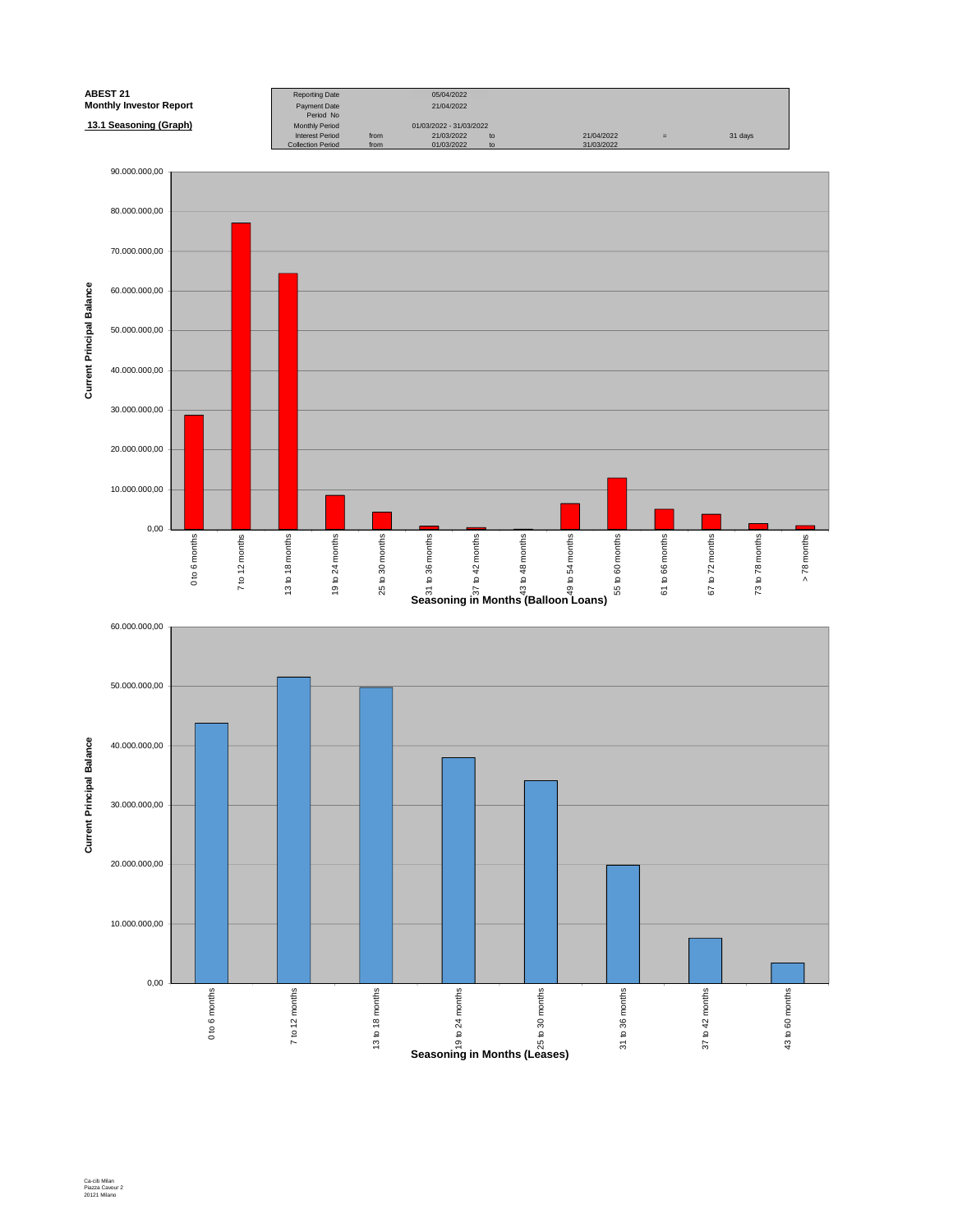

Ca-cib Milan Piazza Cavour 2 20121 Milano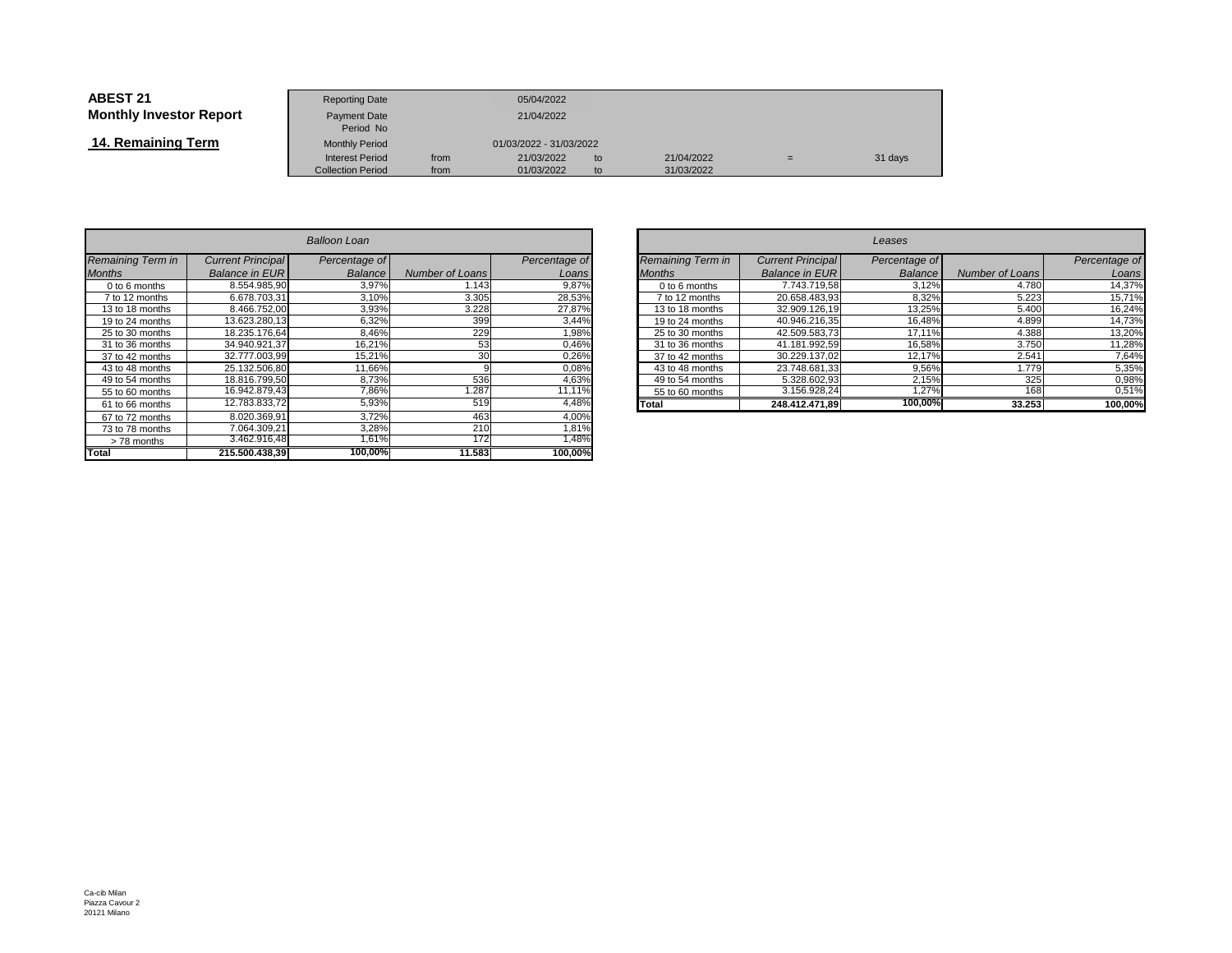| <b>ABEST 21</b>                | <b>Reporting Date</b>            |      | 05/04/2022              |    |            |     |         |
|--------------------------------|----------------------------------|------|-------------------------|----|------------|-----|---------|
| <b>Monthly Investor Report</b> | <b>Payment Date</b><br>Period No |      | 21/04/2022              |    |            |     |         |
| 14. Remaining Term             | <b>Monthly Period</b>            |      | 01/03/2022 - 31/03/2022 |    |            |     |         |
|                                | <b>Interest Period</b>           | from | 21/03/2022              | to | 21/04/2022 | $=$ | 31 days |
|                                | <b>Collection Period</b>         | from | 01/03/2022              | to | 31/03/2022 |     |         |

|                   |                          | Balloon Loan  |                        |               |
|-------------------|--------------------------|---------------|------------------------|---------------|
| Remaining Term in | <b>Current Principal</b> | Percentage of |                        | Percentage of |
| <b>Months</b>     | <b>Balance in EUR</b>    | Balance       | <b>Number of Loans</b> | Loans         |
| 0 to 6 months     | 8.554.985.90             | 3,97%         | 1.143                  | 9,87%         |
| 7 to 12 months    | 6.678.703.31             | 3,10%         | 3.305                  | 28,53%        |
| 13 to 18 months   | 8.466.752.00             | 3,93%         | 3.228                  | 27,87%        |
| 19 to 24 months   | 13.623.280.13            | 6,32%         | 399                    | 3,44%         |
| 25 to 30 months   | 18.235.176.64            | 8,46%         | 229                    | 1,98%         |
| 31 to 36 months   | 34.940.921.37            | 16,21%        | 53                     | 0,46%         |
| 37 to 42 months   | 32.777.003.99            | 15,21%        | 30                     | 0,26%         |
| 43 to 48 months   | 25.132.506.80            | 11,66%        | 9                      | 0,08%         |
| 49 to 54 months   | 18.816.799.50            | 8,73%         | 536                    | 4,63%         |
| 55 to 60 months   | 16.942.879,43            | 7,86%         | 1.287                  | 11,11%        |
| 61 to 66 months   | 12.783.833.72            | 5,93%         | 519                    | 4,48%         |
| 67 to 72 months   | 8.020.369,91             | 3,72%         | 463                    | 4,00%         |
| 73 to 78 months   | 7.064.309.21             | 3,28%         | 210                    | 1,81%         |
| >78 months        | 3.462.916,48             | 1,61%         | 172                    | 1,48%         |
| <b>Total</b>      | 215.500.438.39           | 100,00%       | 11.583                 | 100,00%       |

| $\overline{r}$ |                 |               |                   |                          | Leases        |                 |               |
|----------------|-----------------|---------------|-------------------|--------------------------|---------------|-----------------|---------------|
| ge of          |                 | Percentage of | Remaining Term in | <b>Current Principal</b> | Percentage of |                 | Percentage of |
| ance           | Number of Loans | Loansl        | <b>Months</b>     | <b>Balance in EUR</b>    | Balance       | Number of Loans | Loans         |
| 3,97%          | 1.143           | 9,87%         | 0 to 6 months     | 7.743.719,58             | 3,12%         | 4.780           | 14,37%        |
| 3,10%          | 3.305           | 28,53%        | 7 to 12 months    | 20.658.483.93            | 8,32%         | 5.223           | 15,71%        |
| 3,93%          | 3.228           | 27,87%        | 13 to 18 months   | 32.909.126,19            | 13,25%        | 5.400           | 16,24%        |
| 3,32%          | 399             | 3,44%         | 19 to 24 months   | 40.946.216.35            | 16,48%        | 4.899           | 14,73%        |
| 3,46%          | 229             | 1,98%         | 25 to 30 months   | 42.509.583.73            | 17.11%        | 4.388           | 13,20%        |
| 3,21%          | 53              | 0,46%         | 31 to 36 months   | 41.181.992.59            | 16,58%        | 3.750           | 11,28%        |
| 5,21%          | 30              | 0,26%         | 37 to 42 months   | 30.229.137.02            | 12.17%        | 2.541           | 7.64%         |
| ,66%           |                 | 0,08%         | 43 to 48 months   | 23.748.681.33            | 9,56%         | 1.779           | 5.35%         |
| 3,73%          | 536             | 4,63%         | 49 to 54 months   | 5.328.602.93             | 2.15%         | 325             | 0,98%         |
| $.86\%$        | .287            | 11.11%        | 55 to 60 months   | 3.156.928.24             | ,27%          | 168             | 0,51%         |
| 5,93%          | 519             | 4,48%         | Total             | 248.412.471.89           | 100,00%       | 33.253          | 100,00%       |
| 7001           | 100             | 10001         |                   |                          |               |                 |               |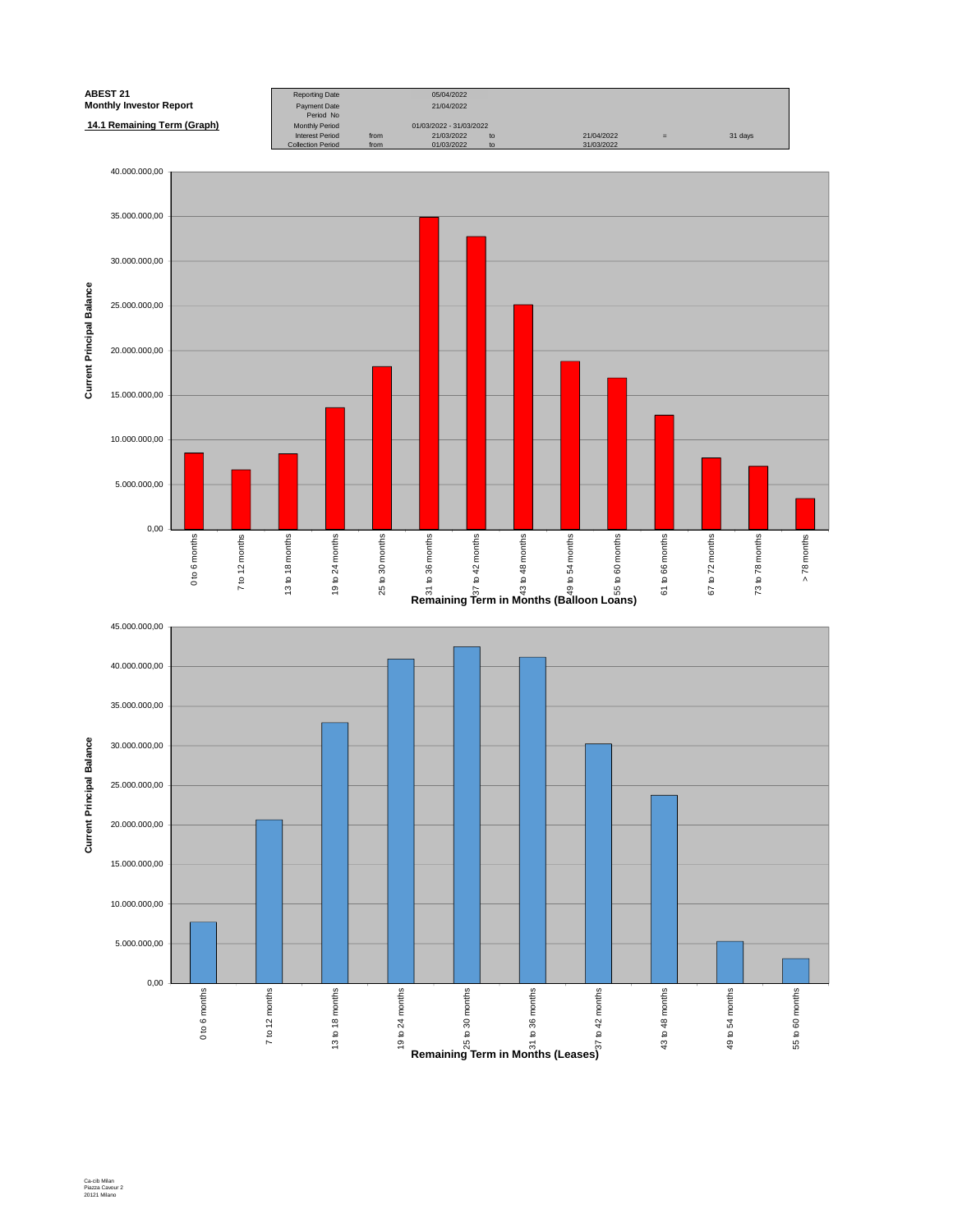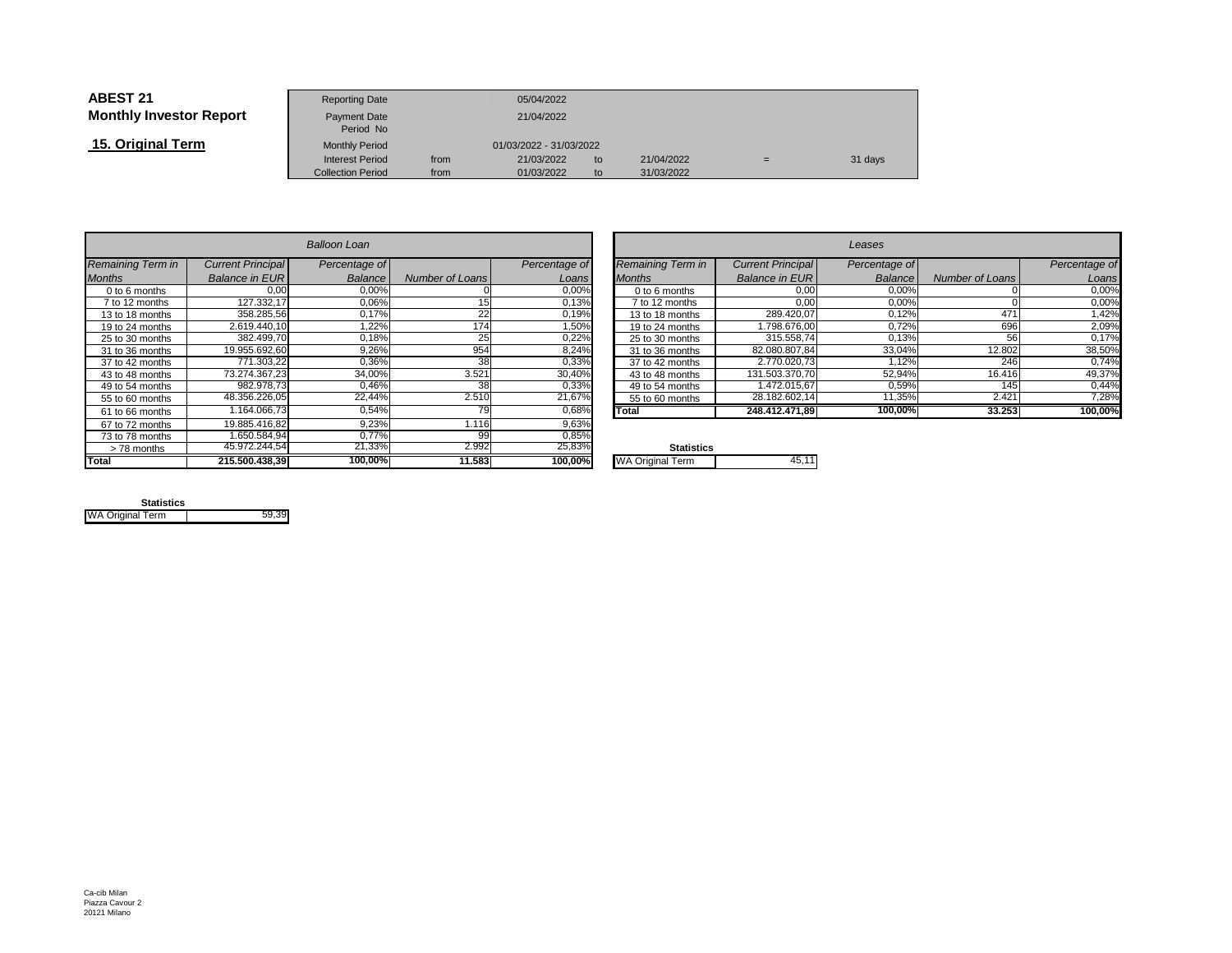| <b>ABEST 21</b>                | <b>Reporting Date</b>     |            | 05/04/2022              |    |            |     |         |
|--------------------------------|---------------------------|------------|-------------------------|----|------------|-----|---------|
| <b>Monthly Investor Report</b> | Payment Date<br>Period No | 21/04/2022 |                         |    |            |     |         |
| 15. Original Term              | <b>Monthly Period</b>     |            | 01/03/2022 - 31/03/2022 |    |            |     |         |
|                                | <b>Interest Period</b>    | from       | 21/03/2022              | to | 21/04/2022 | $=$ | 31 days |
|                                | <b>Collection Period</b>  | from       | 01/03/2022              | to | 31/03/2022 |     |         |

|                   |                          | Balloon Loan  |                        |               |                         |
|-------------------|--------------------------|---------------|------------------------|---------------|-------------------------|
| Remaining Term in | <b>Current Principal</b> | Percentage of |                        | Percentage of | Remaining Term in       |
| <b>Months</b>     | <b>Balance in EUR</b>    | Balance       | <b>Number of Loans</b> | Loans         | <b>Months</b>           |
| $0$ to 6 months   | 0.00                     | 0.00%         |                        | 0,00%         | $0$ to 6 months         |
| 7 to 12 months    | 127.332.17               | 0.06%         | 15                     | 0,13%         | 7 to 12 months          |
| 13 to 18 months   | 358.285.56               | 0,17%         | 22                     | 0,19%         | 13 to 18 months         |
| 19 to 24 months   | 2.619.440.10             | 1.22%         | 174                    | 1,50%         | 19 to 24 months         |
| 25 to 30 months   | 382.499.70               | 0,18%         | 25                     | 0,22%         | 25 to 30 months         |
| 31 to 36 months   | 19.955.692.60            | 9,26%         | 954                    | 8,24%         | 31 to 36 months         |
| 37 to 42 months   | 771.303.22               | 0.36%         | 38                     | 0,33%         | 37 to 42 months         |
| 43 to 48 months   | 73.274.367.23            | 34.00%        | 3.521                  | 30,40%        | 43 to 48 months         |
| 49 to 54 months   | 982.978.73               | 0.46%         | 38                     | 0,33%         | 49 to 54 months         |
| 55 to 60 months   | 48.356.226.05            | 22,44%        | 2.510                  | 21,67%        | 55 to 60 months         |
| 61 to 66 months   | 1.164.066.73             | 0.54%         | 79                     | 0,68%         | Total                   |
| 67 to 72 months   | 19.885.416.82            | 9.23%         | 1.116                  | 9,63%         |                         |
| 73 to 78 months   | 1.650.584.94             | 0.77%         | 99                     | 0,85%         |                         |
| > 78 months       | 45.972.244.54            | 21,33%        | 2.992                  | 25,83%        | <b>Statistics</b>       |
| Total             | 215.500.438,39           | 100.00%       | 11.583                 | 100,00%       | <b>WA Original Term</b> |

| n        |                          |               |                          |                          | Leases        |                 |               |
|----------|--------------------------|---------------|--------------------------|--------------------------|---------------|-----------------|---------------|
| ge of    |                          | Percentage of | <b>Remaining Term in</b> | <b>Current Principal</b> | Percentage of |                 | Percentage of |
| ance     | <b>Number of Loans</b>   | Loans         | <b>Months</b>            | <b>Balance in EUR</b>    | Balance       | Number of Loans | Loans         |
| $0,00\%$ |                          | 0,00%         | 0 to 6 months            | 0,00                     | 0,00%         |                 | 0,00%         |
| $0,06\%$ | 15                       | 0,13%         | 7 to 12 months           | 0,00                     | 0,00%         |                 | 0,00%         |
| ,17%     | 22                       | 0,19%         | 13 to 18 months          | 289.420.07               | 0,12%         | 471             | 1,42%         |
| ,22%     | 174.                     | 1.50%         | 19 to 24 months          | 1.798.676.00             | 0.72%         | 696             | 2,09%         |
| ,18%     | 25 <sub>1</sub>          | 0,22%         | 25 to 30 months          | 315.558,74               | 0,13%         | 56              | 0,17%         |
| ,26%     | 954                      | 8,24%         | 31 to 36 months          | 82.080.807,84            | 33,04%        | 12.802          | 38,50%        |
| $,36\%$  | 38                       | 0,33%         | 37 to 42 months          | 2.770.020.73             | 1.12%         | 246             | 0.74%         |
| $,00\%$  | 3.521                    | 30,40%        | 43 to 48 months          | 131.503.370.70           | 52,94%        | 16.416          | 49,37%        |
| ,46%     | 38                       | 0,33%         | 49 to 54 months          | 1.472.015,67             | 0,59%         | 145             | 0,44%         |
| 44%      | 2.510                    | 21,67%        | 55 to 60 months          | 28.182.602,14            | 11,35%        | 2.421           | 7,28%         |
| 0.54%    | 791                      | 0,68%         | Total                    | 248.412.471.89           | 100,00%       | 33.253          | 100,00%       |
| 0.001    | $\overline{\phantom{a}}$ | 0.0001        |                          |                          |               |                 |               |

| 0/ | <b>Statistics</b>       |  |
|----|-------------------------|--|
| %  | <b>WA Original Term</b> |  |
|    |                         |  |

| <b>Statistics</b>       |       |
|-------------------------|-------|
| <b>WA Original Term</b> | 59.39 |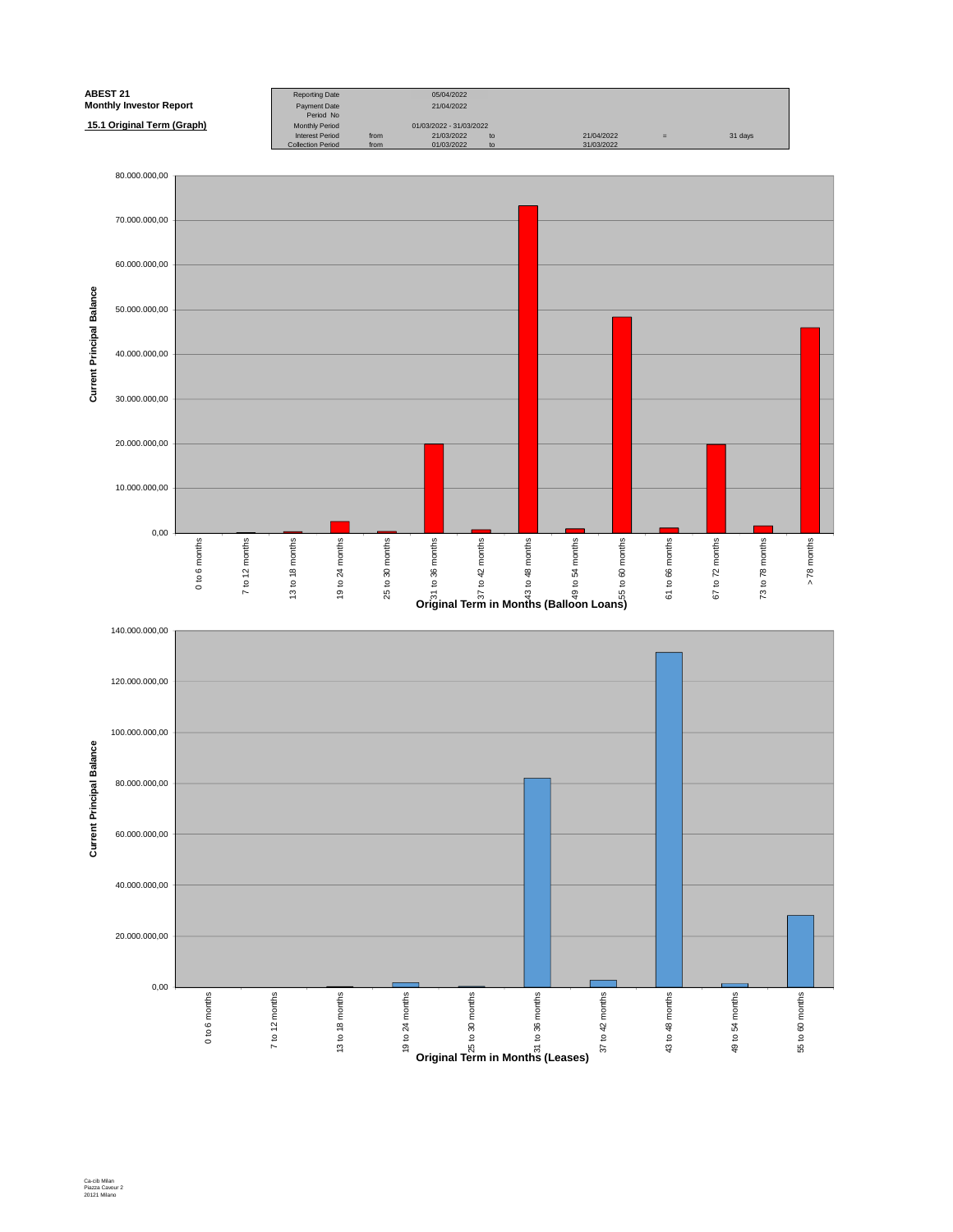

Ca-cib Milan Piazza Cavour 2 20121 Milano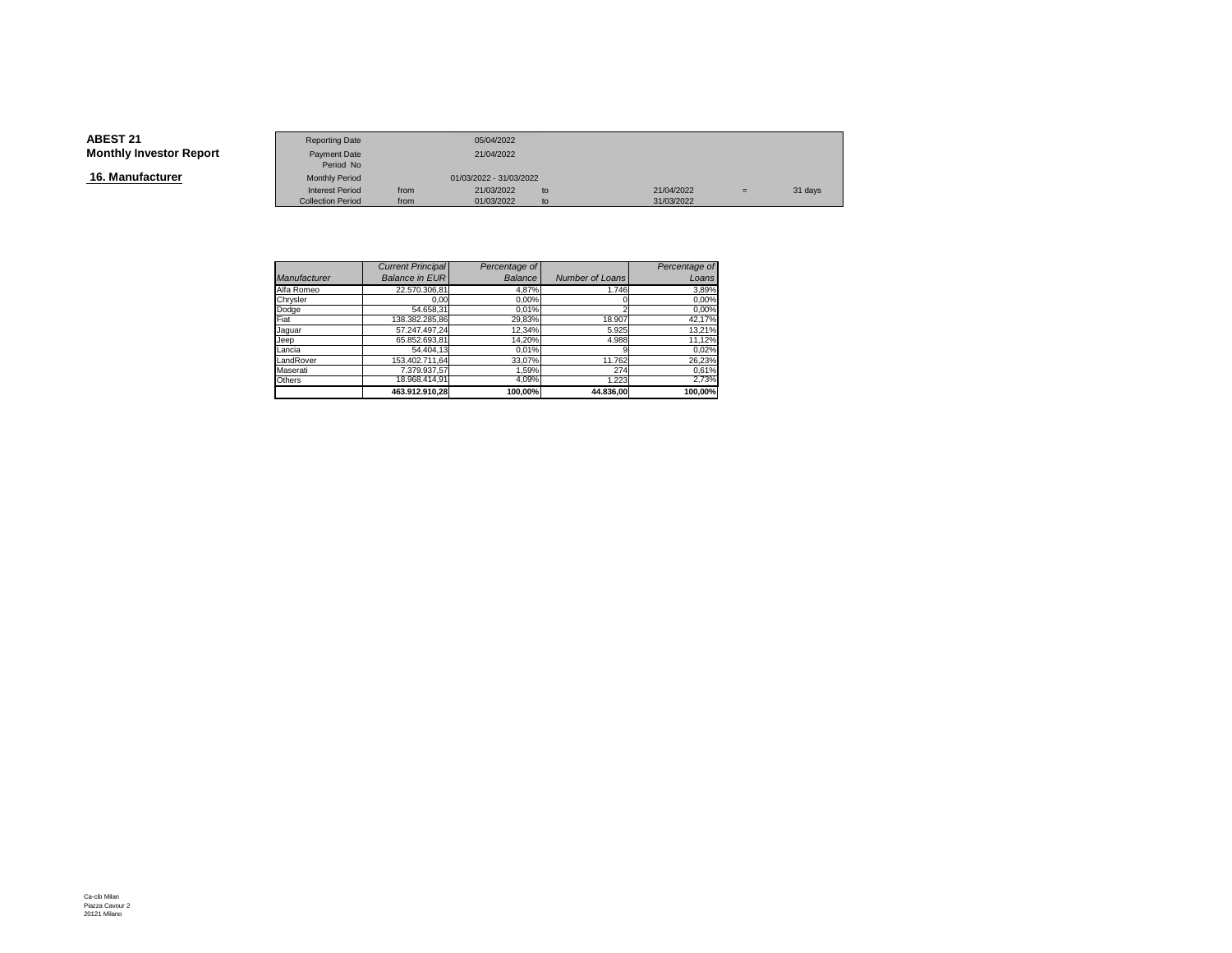**16. Manufacturer**

|                        | <b>Reporting Date</b>    |      | 05/04/2022              |    |            |     |         |
|------------------------|--------------------------|------|-------------------------|----|------------|-----|---------|
| <b>Investor Report</b> | Payment Date             |      | 21/04/2022              |    |            |     |         |
|                        | Period No                |      |                         |    |            |     |         |
| ıfacturer              | <b>Monthly Period</b>    |      | 01/03/2022 - 31/03/2022 |    |            |     |         |
|                        | <b>Interest Period</b>   | from | 21/03/2022              | to | 21/04/2022 | $=$ | 31 days |
|                        | <b>Collection Period</b> | from | 01/03/2022              | to | 31/03/2022 |     |         |

|              | <b>Current Principal</b> | Percentage of  |                        | Percentage of |
|--------------|--------------------------|----------------|------------------------|---------------|
| Manufacturer | <b>Balance in EUR</b>    | <b>Balance</b> | <b>Number of Loans</b> | Loans         |
| Alfa Romeo   | 22.570.306.81            | 4,87%          | 1.746                  | 3,89%         |
| Chrysler     | 0.00                     | 0,00%          |                        | 0,00%         |
| Dodge        | 54.658.31                | 0.01%          |                        | 0,00%         |
| Fiat         | 138.382.285.86           | 29,83%         | 18.907                 | 42,17%        |
| Jaquar       | 57.247.497.24            | 12,34%         | 5.925                  | 13,21%        |
| Jeep         | 65.852.693.81            | 14.20%         | 4.988                  | 11,12%        |
| Lancia       | 54.404.13                | 0,01%          |                        | 0,02%         |
| LandRover    | 153.402.711.64           | 33,07%         | 11.762                 | 26,23%        |
| Maserati     | 7.379.937.57             | 1.59%          | 274                    | 0,61%         |
| Others       | 18.968.414,91            | 4,09%          | 1.223                  | 2,73%         |
|              | 463.912.910.28           | 100,00%        | 44.836.00              | 100.00%       |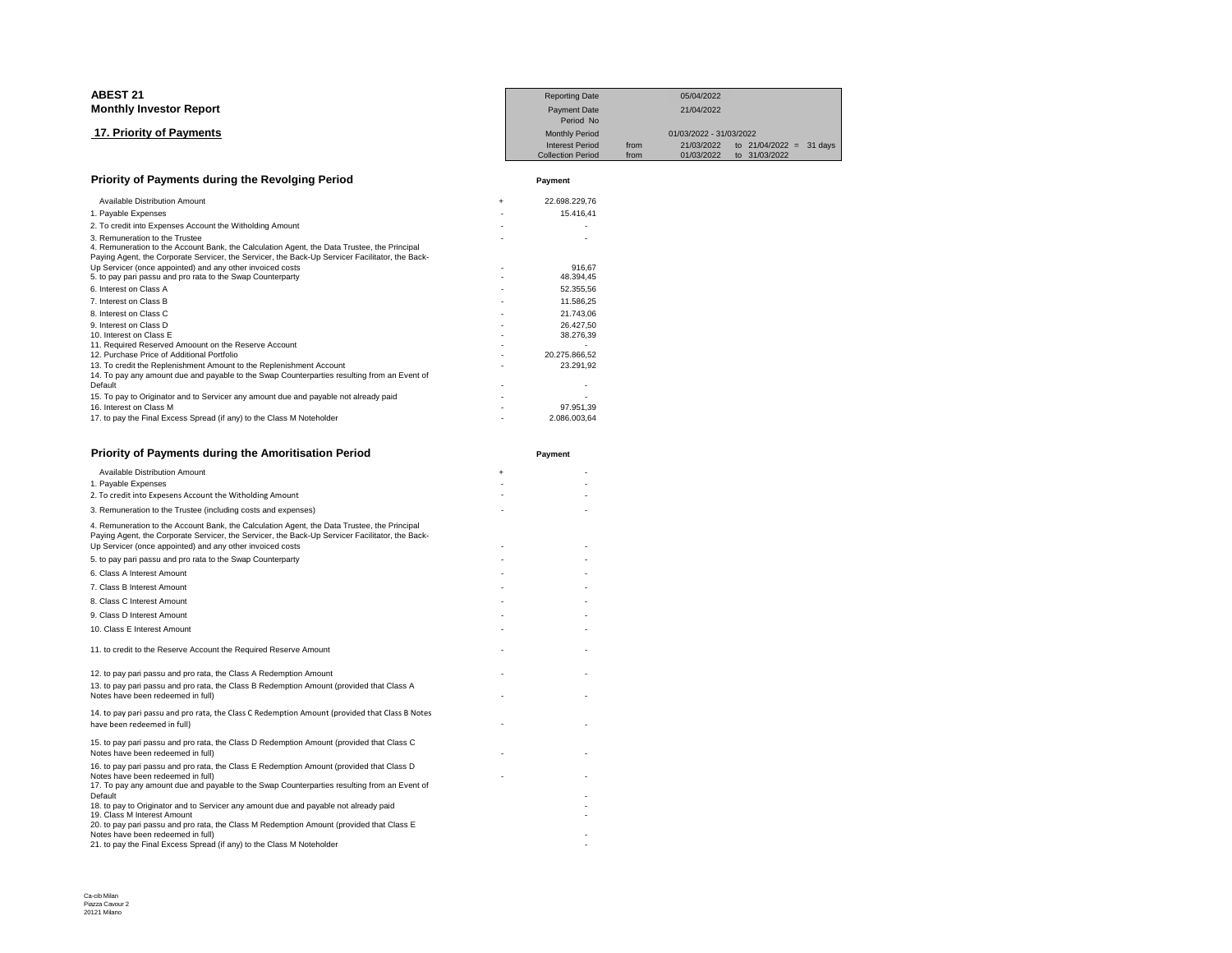| <b>ABEST 21</b>                                                                                                                                                                                                                  |     | <b>Reporting Date</b>            |            | 05/04/2022              |               |                |
|----------------------------------------------------------------------------------------------------------------------------------------------------------------------------------------------------------------------------------|-----|----------------------------------|------------|-------------------------|---------------|----------------|
| <b>Monthly Investor Report</b>                                                                                                                                                                                                   |     | <b>Payment Date</b><br>Period No | 21/04/2022 |                         |               |                |
| 17. Priority of Payments                                                                                                                                                                                                         |     | <b>Monthly Period</b>            |            | 01/03/2022 - 31/03/2022 |               |                |
|                                                                                                                                                                                                                                  |     | <b>Interest Period</b>           | from       | 21/03/2022              | to 21/04/2022 | 31 days<br>$=$ |
|                                                                                                                                                                                                                                  |     | <b>Collection Period</b>         | from       | 01/03/2022              | to 31/03/2022 |                |
| Priority of Payments during the Revolging Period                                                                                                                                                                                 |     | Payment                          |            |                         |               |                |
| Available Distribution Amount                                                                                                                                                                                                    | $+$ | 22.698.229,76                    |            |                         |               |                |
| 1. Payable Expenses                                                                                                                                                                                                              |     | 15.416,41                        |            |                         |               |                |
| 2. To credit into Expenses Account the Witholding Amount                                                                                                                                                                         |     |                                  |            |                         |               |                |
| 3. Remuneration to the Trustee<br>4. Remuneration to the Account Bank, the Calculation Agent, the Data Trustee, the Principal<br>Paying Agent, the Corporate Servicer, the Servicer, the Back-Up Servicer Facilitator, the Back- |     |                                  |            |                         |               |                |
| Up Servicer (once appointed) and any other invoiced costs                                                                                                                                                                        |     | 916.67                           |            |                         |               |                |
| 5. to pay pari passu and pro rata to the Swap Counterparty                                                                                                                                                                       |     | 48.394,45                        |            |                         |               |                |
| 6. Interest on Class A                                                                                                                                                                                                           |     | 52.355,56                        |            |                         |               |                |
| 7. Interest on Class B                                                                                                                                                                                                           |     | 11.586,25                        |            |                         |               |                |
| 8. Interest on Class C                                                                                                                                                                                                           |     | 21.743,06                        |            |                         |               |                |
| 9. Interest on Class D                                                                                                                                                                                                           |     | 26.427.50                        |            |                         |               |                |
| 10. Interest on Class E                                                                                                                                                                                                          |     | 38.276,39                        |            |                         |               |                |
| 11. Required Reserved Amoount on the Reserve Account                                                                                                                                                                             |     |                                  |            |                         |               |                |
| 12. Purchase Price of Additional Portfolio                                                                                                                                                                                       |     | 20.275.866.52                    |            |                         |               |                |
| 13. To credit the Replenishment Amount to the Replenishment Account                                                                                                                                                              |     | 23.291.92                        |            |                         |               |                |
| 14. To pay any amount due and payable to the Swap Counterparties resulting from an Event of                                                                                                                                      |     |                                  |            |                         |               |                |
| Default                                                                                                                                                                                                                          |     |                                  |            |                         |               |                |
| 15. To pay to Originator and to Servicer any amount due and payable not already paid                                                                                                                                             |     |                                  |            |                         |               |                |
| 16. Interest on Class M                                                                                                                                                                                                          |     | 97.951,39                        |            |                         |               |                |
| 17. to pay the Final Excess Spread (if any) to the Class M Noteholder                                                                                                                                                            |     | 2.086.003.64                     |            |                         |               |                |

| <b>Priority of Payments during the Amoritisation Period</b>                                                                                                                                                                                                 |           | Payment |
|-------------------------------------------------------------------------------------------------------------------------------------------------------------------------------------------------------------------------------------------------------------|-----------|---------|
| <b>Available Distribution Amount</b>                                                                                                                                                                                                                        | $\ddot{}$ |         |
| 1. Payable Expenses                                                                                                                                                                                                                                         |           |         |
| 2. To credit into Expesens Account the Witholding Amount                                                                                                                                                                                                    |           |         |
| 3. Remuneration to the Trustee (including costs and expenses)                                                                                                                                                                                               |           |         |
| 4. Remuneration to the Account Bank, the Calculation Agent, the Data Trustee, the Principal<br>Paying Agent, the Corporate Servicer, the Servicer, the Back-Up Servicer Facilitator, the Back-<br>Up Servicer (once appointed) and any other invoiced costs |           |         |
| 5. to pay pari passu and pro rata to the Swap Counterparty                                                                                                                                                                                                  |           |         |
| 6. Class A Interest Amount                                                                                                                                                                                                                                  |           |         |
| 7. Class B Interest Amount                                                                                                                                                                                                                                  |           |         |
| 8. Class C Interest Amount                                                                                                                                                                                                                                  |           |         |
| 9. Class D Interest Amount                                                                                                                                                                                                                                  |           |         |
| 10. Class E Interest Amount                                                                                                                                                                                                                                 |           |         |
| 11. to credit to the Reserve Account the Required Reserve Amount                                                                                                                                                                                            |           |         |
| 12. to pay pari passu and pro rata, the Class A Redemption Amount                                                                                                                                                                                           |           |         |
| 13. to pay pari passu and pro rata, the Class B Redemption Amount (provided that Class A<br>Notes have been redeemed in full)                                                                                                                               |           |         |
| 14. to pay pari passu and pro rata, the Class C Redemption Amount (provided that Class B Notes<br>have been redeemed in full)                                                                                                                               |           |         |
| 15. to pay pari passu and pro rata, the Class D Redemption Amount (provided that Class C<br>Notes have been redeemed in full)                                                                                                                               |           |         |
| 16. to pay pari passu and pro rata, the Class E Redemption Amount (provided that Class D<br>Notes have been redeemed in full)                                                                                                                               |           |         |
| 17. To pay any amount due and payable to the Swap Counterparties resulting from an Event of<br>Default                                                                                                                                                      |           |         |
| 18. to pay to Originator and to Servicer any amount due and payable not already paid<br>19. Class M Interest Amount                                                                                                                                         |           |         |
| 20. to pay pari passu and pro rata, the Class M Redemption Amount (provided that Class E<br>Notes have been redeemed in full)                                                                                                                               |           |         |
| 21. to pay the Final Excess Spread (if any) to the Class M Noteholder                                                                                                                                                                                       |           |         |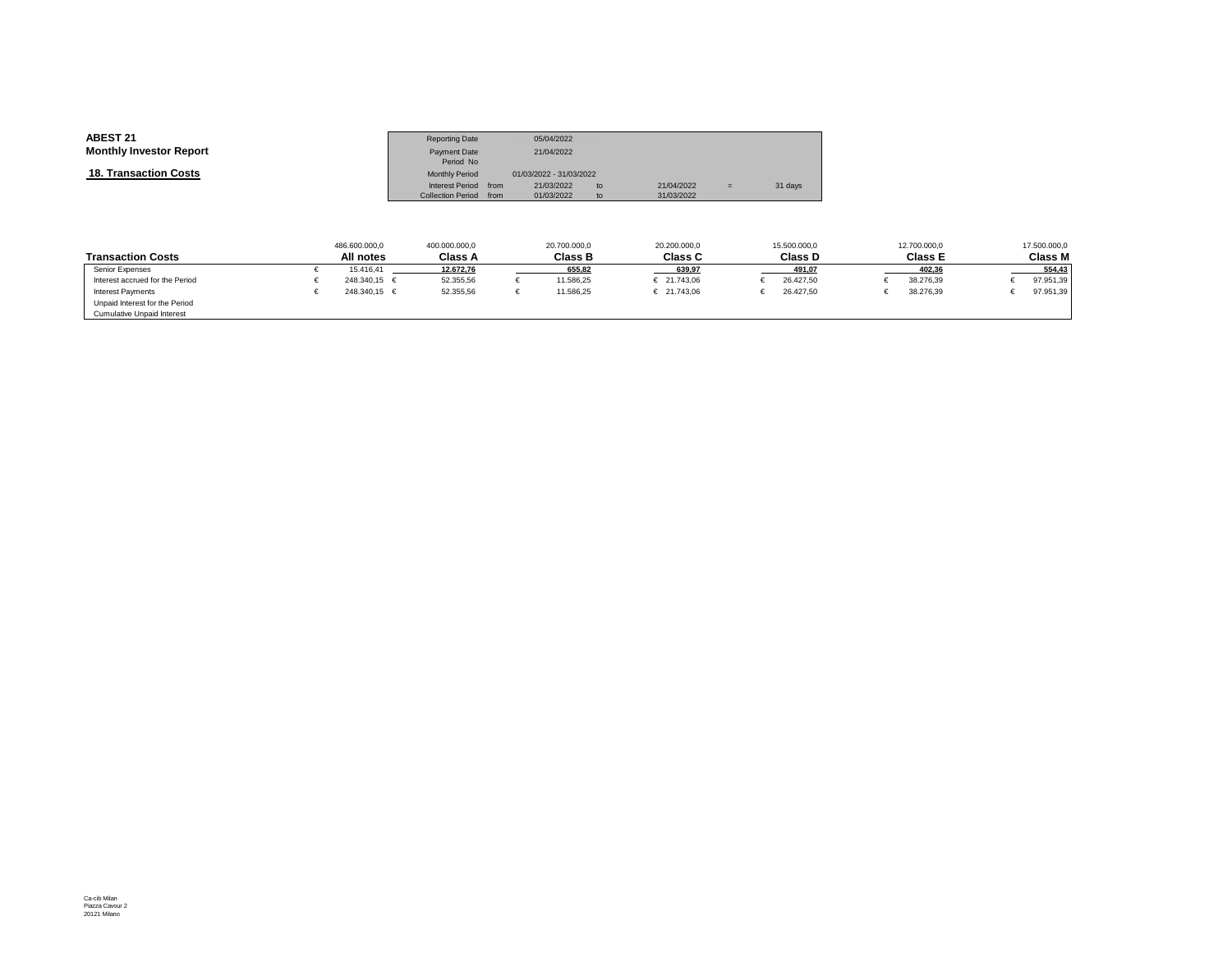| <b>ABEST 21</b>                | <b>Reporting Date</b>    |      | 05/04/2022              |    |            |     |         |
|--------------------------------|--------------------------|------|-------------------------|----|------------|-----|---------|
| <b>Monthly Investor Report</b> | Payment Date             |      | 21/04/2022              |    |            |     |         |
|                                | Period No                |      |                         |    |            |     |         |
| <b>18. Transaction Costs</b>   | <b>Monthly Period</b>    |      | 01/03/2022 - 31/03/2022 |    |            |     |         |
|                                | Interest Period from     |      | 21/03/2022              | to | 21/04/2022 | $=$ | 31 days |
|                                | <b>Collection Period</b> | from | 01/03/2022              | to | 31/03/2022 |     |         |

|                                   | 486.600.000,0    | 400.000.000.0  | 20.700.000.0   | 20.200.000.0   | 15.500.000.0   | 12,700,000.0   | 17.500.000,0   |
|-----------------------------------|------------------|----------------|----------------|----------------|----------------|----------------|----------------|
| <b>Transaction Costs</b>          | All notes        | <b>Class A</b> | <b>Class B</b> | <b>Class C</b> | <b>Class D</b> | <b>Class E</b> | <b>Class M</b> |
| Senior Expenses                   | 15.416.41        | 12.672.76      | 655.82         | 639.97         | 491.07         | 402.36         | 554.43         |
| Interest accrued for the Period   | $248.340.15 \in$ | 52.355,56      | 11.586,25      | € 21.743,06    | 26.427,50      | 38.276,39      | 97.951,39      |
| <b>Interest Payments</b>          | $248.340.15 \in$ | 52.355,56      | 11.586,25      | € 21.743,06    | 26.427,50      | 38.276,39      | 97.951,39      |
| Unpaid Interest for the Period    |                  |                |                |                |                |                |                |
| <b>Cumulative Unpaid Interest</b> |                  |                |                |                |                |                |                |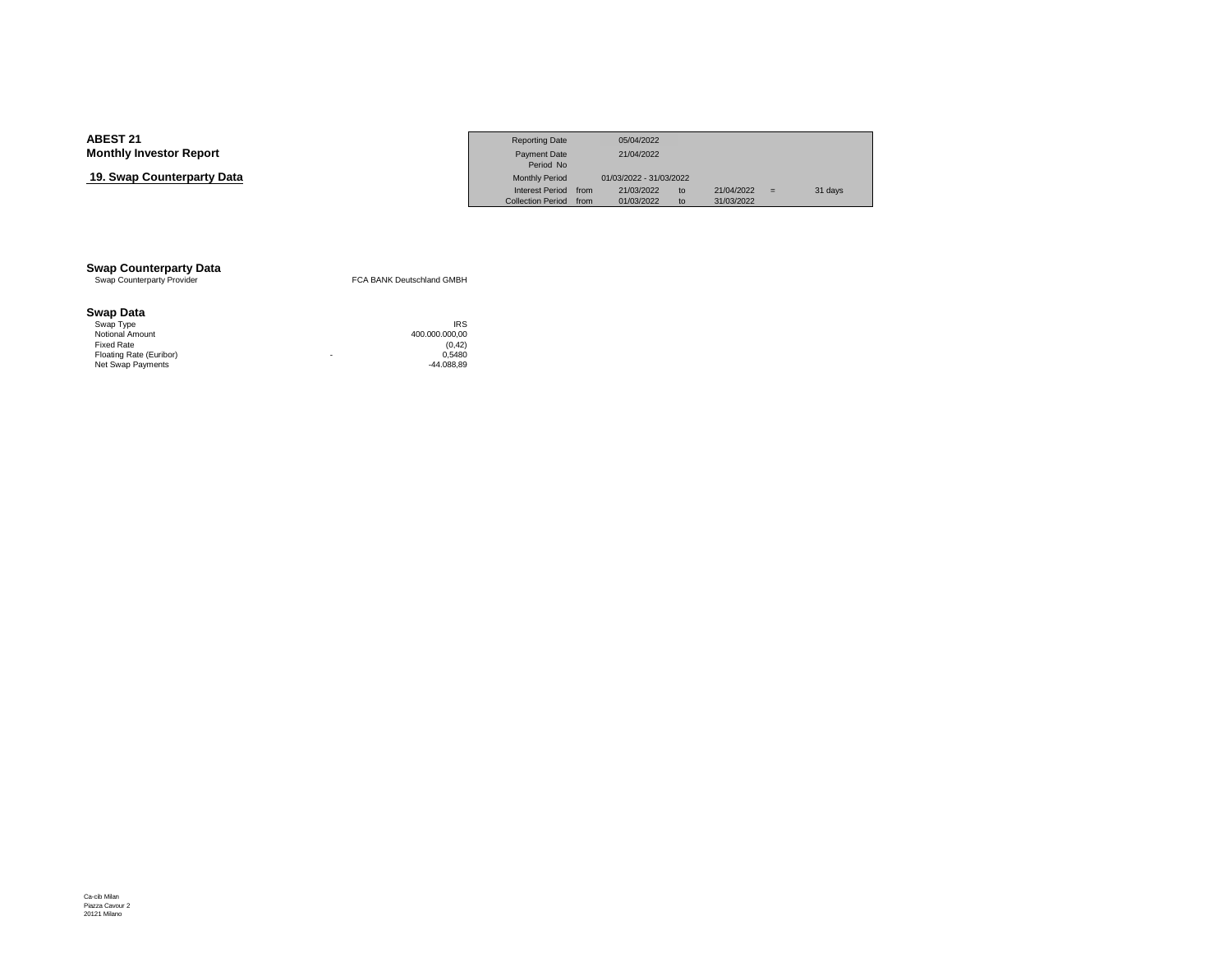## **19. Swap Counterparty Data**

|                            | <b>Reporting Date</b>    |      | 05/04/2022              |    |            |     |         |
|----------------------------|--------------------------|------|-------------------------|----|------------|-----|---------|
| Investor Report            | Payment Date             |      | 21/04/2022              |    |            |     |         |
|                            | Period No                |      |                         |    |            |     |         |
| <b>› Counterpartv Data</b> | <b>Monthly Period</b>    |      | 01/03/2022 - 31/03/2022 |    |            |     |         |
|                            | <b>Interest Period</b>   | from | 21/03/2022              | to | 21/04/2022 | $=$ | 31 days |
|                            | <b>Collection Period</b> | from | 01/03/2022              | to | 31/03/2022 |     |         |

# **Swap Counterparty Data**<br>
Swap Counterparty Provider

FCA BANK Deutschland GMBH

#### **Swap Data**

| Swap Type               |   | <b>IRS</b>     |
|-------------------------|---|----------------|
| Notional Amount         |   | 400.000.000.00 |
| Fixed Rate              |   | (0.42)         |
| Floating Rate (Euribor) | ۰ | 0.5480         |
| Net Swap Payments       |   | $-44.088.89$   |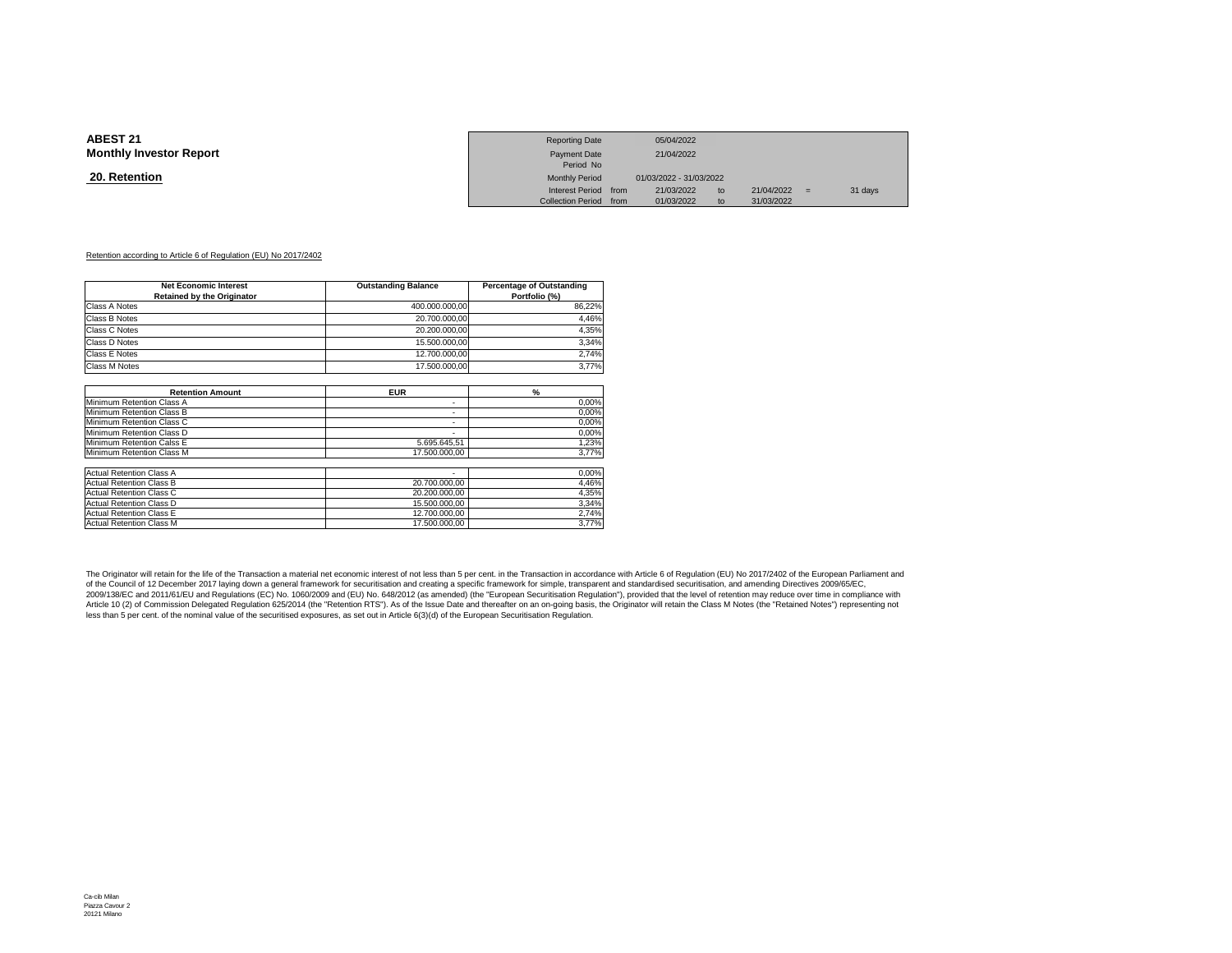#### **20. Retention**

|                 | <b>Reporting Date</b>  | 05/04/2022              |    |            |     |         |
|-----------------|------------------------|-------------------------|----|------------|-----|---------|
| Investor Report | <b>Payment Date</b>    | 21/04/2022              |    |            |     |         |
|                 | Period No              |                         |    |            |     |         |
| <u>ntion</u>    | <b>Monthly Period</b>  | 01/03/2022 - 31/03/2022 |    |            |     |         |
|                 | Interest Period from   | 21/03/2022              | to | 21/04/2022 | $=$ | 31 days |
|                 | Collection Period from | 01/03/2022              | to | 31/03/2022 |     |         |

#### Retention according to Article 6 of Regulation (EU) No 2017/2402

| <b>Net Economic Interest</b><br><b>Retained by the Originator</b> | <b>Outstanding Balance</b> | Percentage of Outstanding<br>Portfolio (%) |  |  |
|-------------------------------------------------------------------|----------------------------|--------------------------------------------|--|--|
| Class A Notes                                                     | 400.000.000,00             | 86,22%                                     |  |  |
| Class B Notes                                                     | 20.700.000,00              | 4,46%                                      |  |  |
| Class C Notes                                                     | 20.200.000.00              | 4,35%                                      |  |  |
| Class D Notes                                                     | 15.500.000.00              | 3,34%                                      |  |  |
| Class E Notes                                                     | 12.700.000.00              | 2,74%                                      |  |  |
| Class M Notes                                                     | 17.500.000.00              | 3,77%                                      |  |  |
|                                                                   |                            |                                            |  |  |
| <b>Retention Amount</b>                                           | <b>EUR</b>                 | $\frac{9}{6}$                              |  |  |
| Minimum Retention Class A                                         | ۰                          | 0,00%                                      |  |  |
| Minimum Retention Class B                                         | ۰                          | 0,00%                                      |  |  |
| Minimum Retention Class C                                         | ۰                          | 0,00%                                      |  |  |
| Minimum Retention Class D                                         | $\sim$                     | 0,00%                                      |  |  |
| Minimum Retention Calss E                                         | 5.695.645.51               | 1,23%                                      |  |  |
| Minimum Retention Class M                                         | 17.500.000.00              | 3,77%                                      |  |  |
| <b>Actual Retention Class A</b>                                   |                            | 0,00%                                      |  |  |
| <b>Actual Retention Class B</b>                                   | 20.700.000.00              | 4,46%                                      |  |  |
| <b>Actual Retention Class C</b>                                   | 20.200.000,00              | 4,35%                                      |  |  |
| <b>Actual Retention Class D</b>                                   | 15.500.000.00              | 3,34%                                      |  |  |
| <b>Actual Retention Class E</b>                                   | 12.700.000.00              | 2,74%                                      |  |  |
| <b>Actual Retention Class M</b>                                   | 17.500.000.00              | 3,77%                                      |  |  |

The Originator will retain for the life of the Transaction a material net economic interest of not less than 5 per cent. in the Transaction in accordance with Article 6 of Regulation (EU) No 2017/2402 of the European Parli of the Council of 12 December 2017 laying down a general framework for securitisation and creating a specific framework for simple, transparent and standardised securitisation, and amending Directives 2009/65/EC, 2009/138/EC and 2011/61/EU and Regulations (EC) No. 1060/2009 and (EU) No. 648/2012 (as amended) (the "European Securitisation Regulation"), provided that the level of retention may reduce over time in compliance with<br>Arti less than 5 per cent. of the nominal value of the securitised exposures, as set out in Article 6(3)(d) of the European Securitisation Regulation.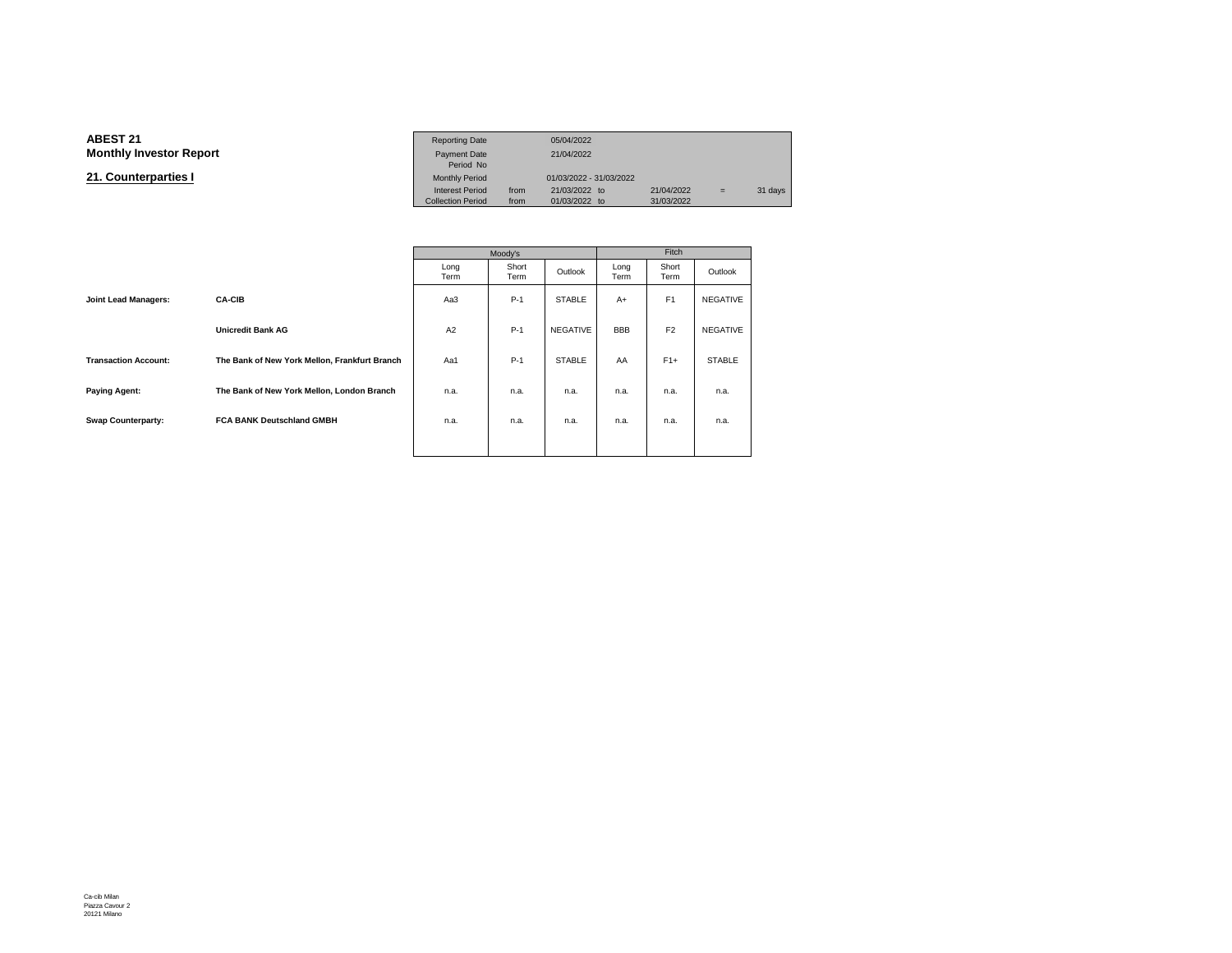#### **ABEST 21**Reporting Date 05/04/2022<br>Payment Date 21/04/2022 **Monthly Investor Reportt** Payment Date 21/04/2022<br>Period No Monthly Period **21. Counterparties I**01/03/2022 - 31/03/2022<br>21/03/2022 to Interest Period from 21/03/2022 to 21/04/2022 = 31 days<br>Collection Period from 01/03/2022 to 31/03/2022 Collection Period

|                             |                                               |              | Moody's       |                 | Fitch        |                |                 |  |
|-----------------------------|-----------------------------------------------|--------------|---------------|-----------------|--------------|----------------|-----------------|--|
|                             |                                               | Long<br>Term | Short<br>Term | Outlook         | Long<br>Term | Short<br>Term  | Outlook         |  |
| <b>Joint Lead Managers:</b> | <b>CA-CIB</b>                                 | Aa3          | $P-1$         | <b>STABLE</b>   | $A+$         | F <sub>1</sub> | NEGATIVE        |  |
|                             | <b>Unicredit Bank AG</b>                      | A2           | $P-1$         | <b>NEGATIVE</b> | <b>BBB</b>   | F <sub>2</sub> | <b>NEGATIVE</b> |  |
| <b>Transaction Account:</b> | The Bank of New York Mellon, Frankfurt Branch | Aa1          | $P-1$         | <b>STABLE</b>   | AA           | $F1+$          | <b>STABLE</b>   |  |
| <b>Paying Agent:</b>        | The Bank of New York Mellon, London Branch    | n.a.         | n.a.          | n.a.            | n.a.         | n.a.           | n.a.            |  |
| <b>Swap Counterparty:</b>   | <b>FCA BANK Deutschland GMBH</b>              | n.a.         | n.a.          | n.a.            | n.a.         | n.a.           | n.a.            |  |
|                             |                                               |              |               |                 |              |                |                 |  |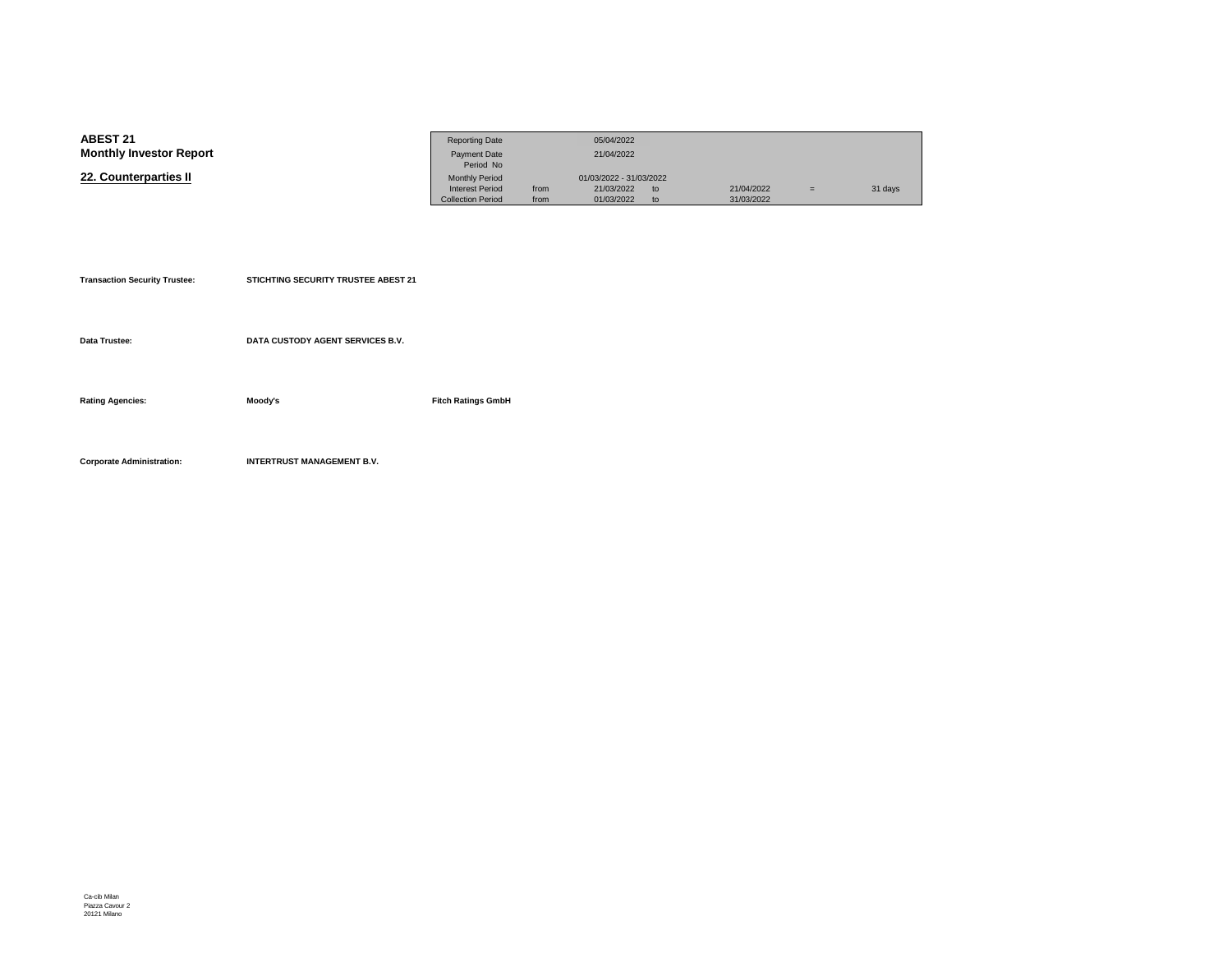| <b>ABEST 21</b>                | <b>Reporting Date</b>    |      | 05/04/2022              |    |            |     |         |
|--------------------------------|--------------------------|------|-------------------------|----|------------|-----|---------|
| <b>Monthly Investor Report</b> | <b>Payment Date</b>      |      | 21/04/2022              |    |            |     |         |
|                                | Period No                |      |                         |    |            |     |         |
| 22. Counterparties II          | <b>Monthly Period</b>    |      | 01/03/2022 - 31/03/2022 |    |            |     |         |
|                                | <b>Interest Period</b>   | from | 21/03/2022              | to | 21/04/2022 | $=$ | 31 days |
|                                | <b>Collection Period</b> | from | 01/03/2022              | to | 31/03/2022 |     |         |

| <b>Transaction Security Trustee:</b> | STICHTING SECURITY TRUSTEE ABEST 21 |                           |
|--------------------------------------|-------------------------------------|---------------------------|
|                                      |                                     |                           |
| Data Trustee:                        | DATA CUSTODY AGENT SERVICES B.V.    |                           |
|                                      |                                     |                           |
| <b>Rating Agencies:</b>              | Moody's                             | <b>Fitch Ratings GmbH</b> |
|                                      |                                     |                           |
|                                      |                                     |                           |
| <b>Corporate Administration:</b>     | <b>INTERTRUST MANAGEMENT B.V.</b>   |                           |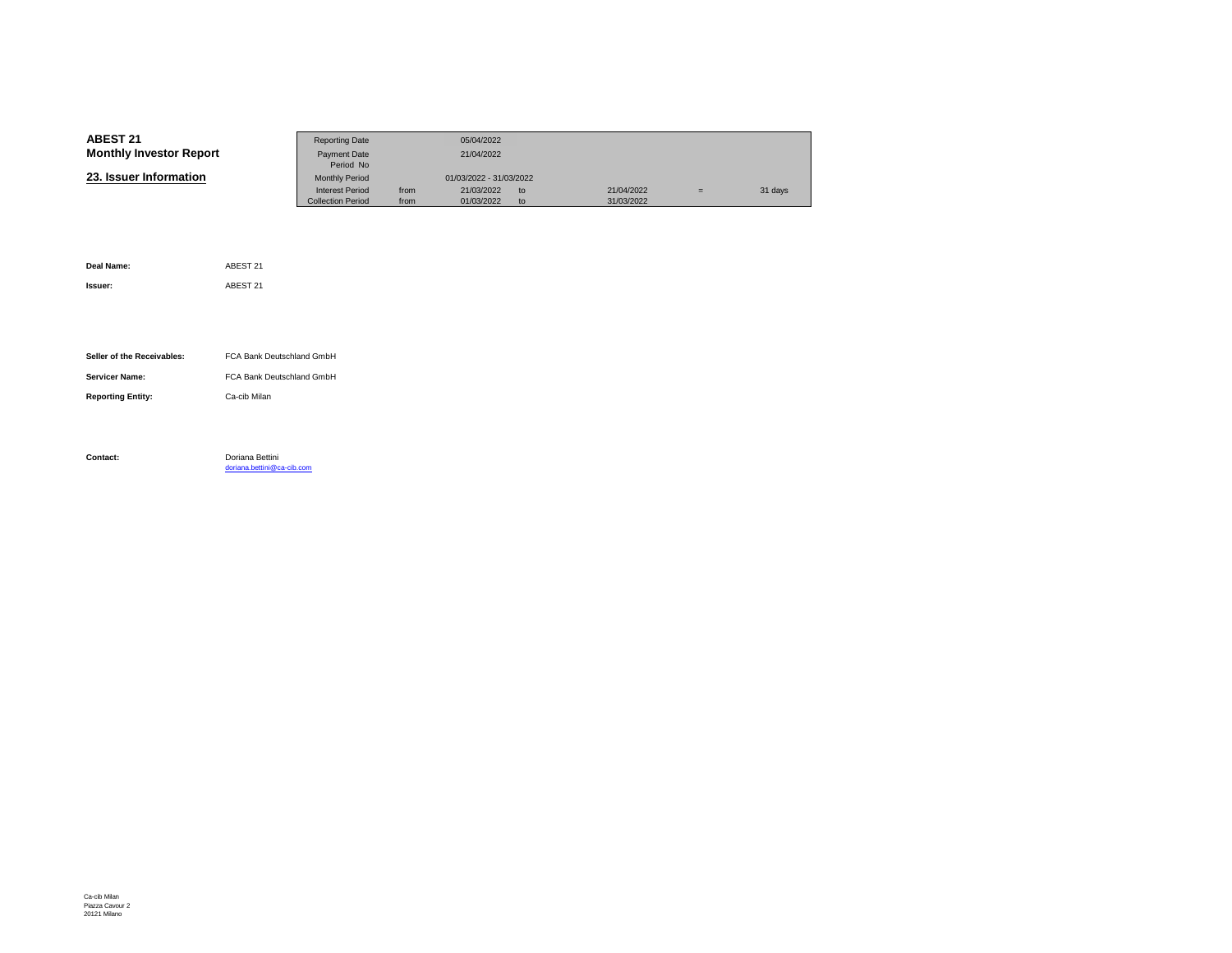| <b>ABEST 21</b>                | <b>Reporting Date</b>    |      | 05/04/2022              |    |            |   |         |
|--------------------------------|--------------------------|------|-------------------------|----|------------|---|---------|
| <b>Monthly Investor Report</b> | Payment Date             |      | 21/04/2022              |    |            |   |         |
|                                | Period No                |      |                         |    |            |   |         |
| 23. Issuer Information         | <b>Monthly Period</b>    |      | 01/03/2022 - 31/03/2022 |    |            |   |         |
|                                | <b>Interest Period</b>   | from | 21/03/2022              | to | 21/04/2022 | Ξ | 31 days |
|                                | <b>Collection Period</b> | from | 01/03/2022              | to | 31/03/2022 |   |         |

| Deal Name:                 | ABEST 21                                      |
|----------------------------|-----------------------------------------------|
| Issuer:                    | ABEST 21                                      |
|                            |                                               |
|                            |                                               |
| Seller of the Receivables: | FCA Bank Deutschland GmbH                     |
| <b>Servicer Name:</b>      | FCA Bank Deutschland GmbH                     |
|                            |                                               |
| <b>Reporting Entity:</b>   | Ca-cib Milan                                  |
|                            |                                               |
|                            |                                               |
| Contact:                   | Doriana Bettini<br>doriana.bettini@ca-cib.com |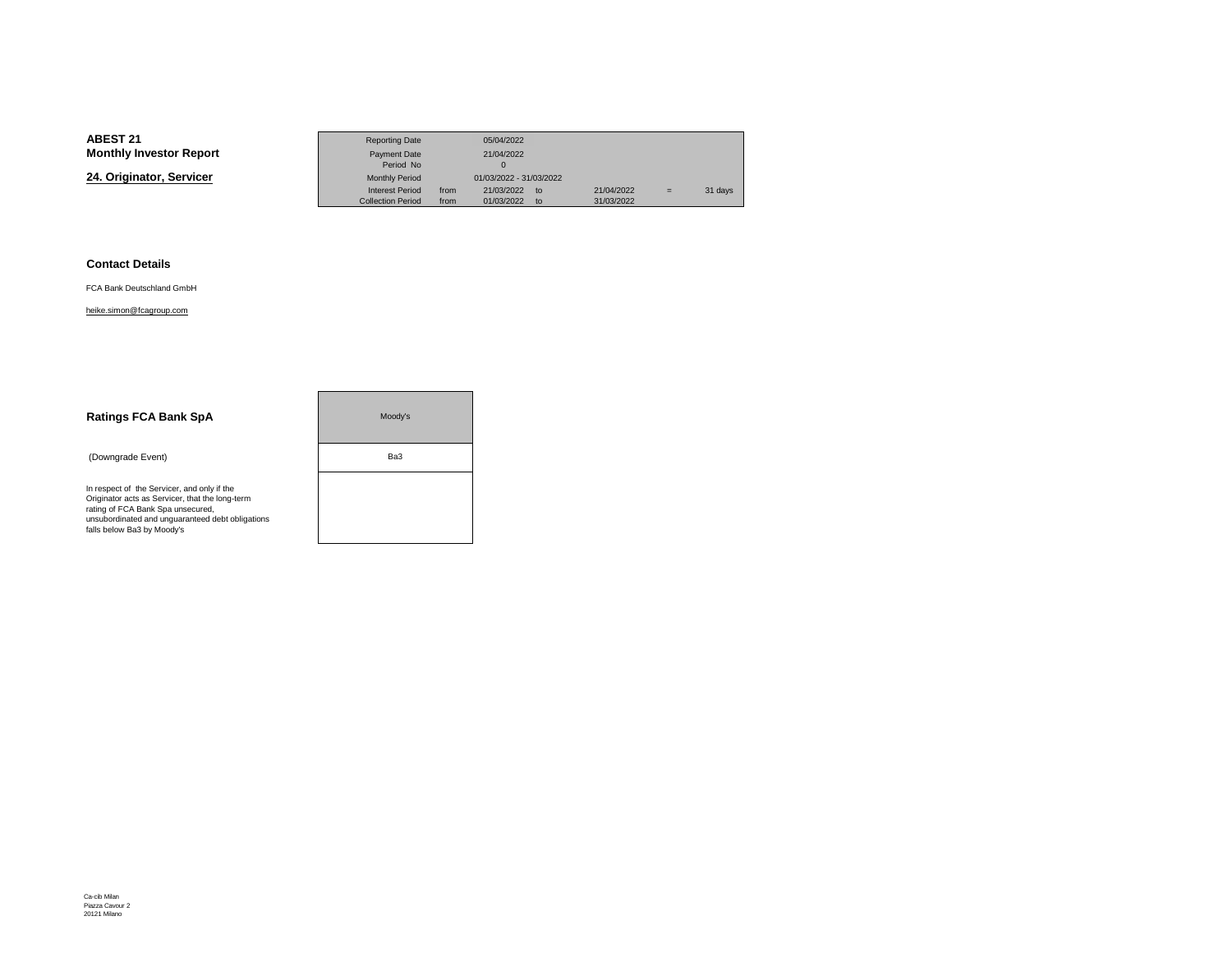**24. Originator, Servicer**

|                 | <b>Reporting Date</b>    |      | 05/04/2022              |               |            |     |         |
|-----------------|--------------------------|------|-------------------------|---------------|------------|-----|---------|
| Investor Report | Payment Date             |      | 21/04/2022              |               |            |     |         |
|                 | Period No                |      |                         |               |            |     |         |
| nator. Servicer | <b>Monthly Period</b>    |      | 01/03/2022 - 31/03/2022 |               |            |     |         |
|                 | <b>Interest Period</b>   | from | 21/03/2022              | $\mathsf{to}$ | 21/04/2022 | $=$ | 31 days |
|                 | <b>Collection Period</b> | from | 01/03/2022              | to            | 31/03/2022 |     |         |

#### **Contact Details**

FCA Bank Deutschland GmbH

#### heike.simon@fcagroup.com

| <b>Ratings FCA Bank SpA</b>                                                                                                                                                                                           | Moody's |  |
|-----------------------------------------------------------------------------------------------------------------------------------------------------------------------------------------------------------------------|---------|--|
| (Downgrade Event)                                                                                                                                                                                                     | Ba3     |  |
| In respect of the Servicer, and only if the<br>Originator acts as Servicer, that the long-term<br>rating of FCA Bank Spa unsecured,<br>unsubordinated and unquaranteed debt obligations<br>falls below Ba3 by Moody's |         |  |